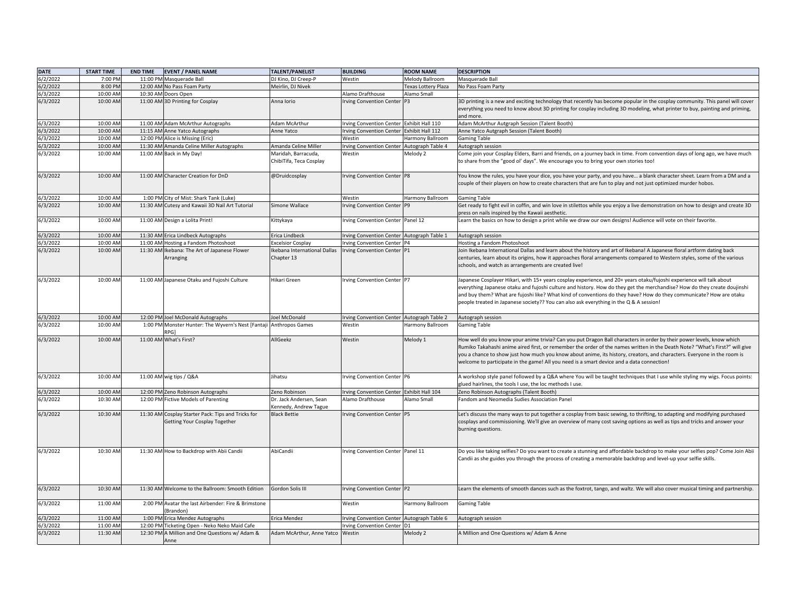| <b>DATE</b> | <b>START TIME</b> | <b>END TIME</b><br><b>EVENT / PANEL NAME</b>                                        | TALENT/PANELIST                                  | <b>BUILDING</b>                            | <b>ROOM NAME</b>    | <b>DESCRIPTION</b>                                                                                                                                                                                                                                                                                                                                                                                                                                                           |
|-------------|-------------------|-------------------------------------------------------------------------------------|--------------------------------------------------|--------------------------------------------|---------------------|------------------------------------------------------------------------------------------------------------------------------------------------------------------------------------------------------------------------------------------------------------------------------------------------------------------------------------------------------------------------------------------------------------------------------------------------------------------------------|
| 6/2/2022    | 7:00 PM           | 11:00 PM Masquerade Ball                                                            | DJ Kino, DJ Creep-P                              | Westin                                     | Melody Ballroom     | Masquerade Ball                                                                                                                                                                                                                                                                                                                                                                                                                                                              |
| 6/2/2022    | 8:00 PM           | 12:00 AM No Pass Foam Party                                                         | Meirlin, DJ Nivek                                |                                            | Texas Lottery Plaza | No Pass Foam Party                                                                                                                                                                                                                                                                                                                                                                                                                                                           |
| 6/3/2022    | 10:00 AM          | 10:30 AM Doors Open                                                                 |                                                  | Alamo Drafthouse                           | Alamo Small         |                                                                                                                                                                                                                                                                                                                                                                                                                                                                              |
| 6/3/2022    | 10:00 AM          | 11:00 AM 3D Printing for Cosplay                                                    | Anna Iorio                                       | Irving Convention Center P3                |                     | 3D printing is a new and exciting technology that recently has become popular in the cosplay community. This panel will cover<br>everything you need to know about 3D printing for cosplay including 3D modeling, what printer to buy, painting and priming,<br>and more.                                                                                                                                                                                                    |
| 6/3/2022    | 10:00 AM          | 11:00 AM Adam McArthur Autographs                                                   | Adam McArthur                                    | Irving Convention Center Exhibit Hall 110  |                     | Adam McArthur Autgraph Session (Talent Booth)                                                                                                                                                                                                                                                                                                                                                                                                                                |
| 6/3/2022    | 10:00 AM          | 11:15 AM Anne Yatco Autographs                                                      | Anne Yatco                                       | Irving Convention Center Exhibit Hall 112  |                     | Anne Yatco Autgraph Session (Talent Booth)                                                                                                                                                                                                                                                                                                                                                                                                                                   |
| 6/3/2022    | 10:00 AM          | 12:00 PM Alice is Missing (Eric)                                                    |                                                  | Westin                                     | Harmony Ballroom    | <b>Gaming Table</b>                                                                                                                                                                                                                                                                                                                                                                                                                                                          |
| 6/3/2022    | 10:00 AM          | 11:30 AM Amanda Celine Miller Autographs                                            | Amanda Celine Miller                             | Irving Convention Center                   | Autograph Table 4   | Autograph session                                                                                                                                                                                                                                                                                                                                                                                                                                                            |
| 6/3/2022    | 10:00 AM          | 11:00 AM Back in My Day!                                                            | Maridah, Barracuda,<br>ChibiTifa, Teca Cosplay   | Westin                                     | Melody 2            | Come join your Cosplay Elders, Barri and friends, on a journey back in time. From convention days of long ago, we have much<br>to share from the "good ol' days". We encourage you to bring your own stories too!                                                                                                                                                                                                                                                            |
| 6/3/2022    | 10:00 AM          | 11:00 AM Character Creation for DnD                                                 | @Druidcosplay                                    | Irving Convention Center P8                |                     | You know the rules, you have your dice, you have your party, and you have a blank character sheet. Learn from a DM and a<br>couple of their players on how to create characters that are fun to play and not just optimized murder hobos.                                                                                                                                                                                                                                    |
| 6/3/2022    | 10:00 AM          | 1:00 PM City of Mist: Shark Tank (Luke)                                             |                                                  | Westin                                     | Harmony Ballroom    | <b>Gaming Table</b>                                                                                                                                                                                                                                                                                                                                                                                                                                                          |
| 6/3/2022    | 10:00 AM          | 11:30 AM Cutesy and Kawaii 3D Nail Art Tutorial                                     | Simone Wallace                                   | <b>Irving Convention Center</b>            |                     | Get ready to fight evil in coffin, and win love in stilettos while you enjoy a live demonstration on how to design and create 3D                                                                                                                                                                                                                                                                                                                                             |
|             |                   |                                                                                     |                                                  |                                            |                     | ress on nails inspired by the Kawaii aesthetic.                                                                                                                                                                                                                                                                                                                                                                                                                              |
| 6/3/2022    | 10:00 AM          | 11:00 AM Design a Lolita Print!                                                     | Kittykaya                                        | Irving Convention Center Panel 12          |                     | Learn the basics on how to design a print while we draw our own designs! Audience will vote on their favorite.                                                                                                                                                                                                                                                                                                                                                               |
| 6/3/2022    | 10:00 AM          | 11:30 AM Erica Lindbeck Autographs                                                  | Erica Lindbeck                                   | Irving Convention Center Autograph Table 1 |                     | Autograph session                                                                                                                                                                                                                                                                                                                                                                                                                                                            |
| 6/3/2022    | 10:00 AM          | 11:00 AM Hosting a Fandom Photoshoot                                                | <b>Excelsior Cosplay</b>                         | Irving Convention Center P4                |                     | Hosting a Fandom Photoshoot                                                                                                                                                                                                                                                                                                                                                                                                                                                  |
| 6/3/2022    | 10:00 AM          | 11:30 AM Ikebana: The Art of Japanese Flower<br>Arranging                           | Ikebana International Dallas<br>Chapter 13       | Irving Convention Center P1                |                     | Join Ikebana International Dallas and learn about the history and art of Ikebana! A Japanese floral artform dating back<br>centuries, learn about its origins, how it approaches floral arrangements compared to Western styles, some of the various<br>schools, and watch as arrangements are created live!                                                                                                                                                                 |
| 6/3/2022    | 10:00 AM          | 11:00 AM Japanese Otaku and Fujoshi Culture                                         | Hikari Green                                     | Irving Convention Center P7                |                     | lapanese Cosplayer Hikari, with 15+ years cosplay experience, and 20+ years otaku/fujoshi experience will talk about<br>everything Japanese otaku and fujoshi culture and history. How do they get the merchandise? How do they create doujinshi<br>and buy them? What are fujoshi like? What kind of conventions do they have? How do they communicate? How are otaku<br>people treated in Japanese society?? You can also ask everything in the Q & A session!             |
| 6/3/2022    | 10:00 AM          | 12:00 PM Joel McDonald Autographs                                                   | Joel McDonald                                    | Irving Convention Center Autograph Table 2 |                     | Autograph session                                                                                                                                                                                                                                                                                                                                                                                                                                                            |
| 6/3/2022    | 10:00 AM          | 1:00 PM Monster Hunter: The Wyvern's Nest [Fantaji<br>RPG)                          | Anthropos Games                                  | Westin                                     | Harmony Ballroom    | <b>Gaming Table</b>                                                                                                                                                                                                                                                                                                                                                                                                                                                          |
| 6/3/2022    | 10:00 AM          | 11:00 AM What's First?                                                              | AllGeekz                                         | Westin                                     | Melody 1            | How well do you know your anime trivia? Can you put Dragon Ball characters in order by their power levels, know which<br>Rumiko Takahashi anime aired first, or remember the order of the names written in the Death Note? "What's First?" will give<br>you a chance to show just how much you know about anime, its history, creators, and characters. Everyone in the room is<br>welcome to participate in the game! All you need is a smart device and a data connection! |
| 6/3/2022    | 10:00 AM          | 11:00 AM wig tips / Q&A                                                             | Jihatsu                                          | Irving Convention Center P6                |                     | A workshop style panel followed by a Q&A where You will be taught techniques that I use while styling my wigs. Focus points:<br>glued hairlines, the tools I use, the loc methods I use.                                                                                                                                                                                                                                                                                     |
| 6/3/2022    | 10:00 AM          | 12:00 PM Zeno Robinson Autographs                                                   | Zeno Robinson                                    | Irving Convention Center Exhibit Hall 104  |                     | Zeno Robinson Autographs (Talent Booth)                                                                                                                                                                                                                                                                                                                                                                                                                                      |
| 6/3/2022    | 10:30 AM          | 12:00 PM Fictive Models of Parenting                                                | Dr. Jack Andersen, Sean<br>Kennedy, Andrew Tague | Alamo Drafthouse                           | Alamo Small         | Fandom and Neomedia Sudies Association Panel                                                                                                                                                                                                                                                                                                                                                                                                                                 |
| 6/3/2022    | 10:30 AM          | 11:30 AM Cosplay Starter Pack: Tips and Tricks for<br>Getting Your Cosplay Together | <b>Black Bettie</b>                              | Irving Convention Center P5                |                     | Let's discuss the many ways to put together a cosplay from basic sewing, to thrifting, to adapting and modifying purchased<br>cosplays and commissioning. We'll give an overview of many cost saving options as well as tips and tricks and answer your<br>burning questions.                                                                                                                                                                                                |
| 6/3/2022    | 10:30 AM          | 11:30 AM How to Backdrop with Abii Candii                                           | AbiCandii                                        | Irving Convention Center Panel 11          |                     | Do you like taking selfies? Do you want to create a stunning and affordable backdrop to make your selfies pop? Come Join Abii<br>Candii as she guides you through the process of creating a memorable backdrop and level-up your selfie skills.                                                                                                                                                                                                                              |
| 6/3/2022    | 10:30 AM          | 11:30 AM Welcome to the Ballroom: Smooth Edition                                    | Gordon Solis III                                 | Irving Convention Center P2                |                     | Learn the elements of smooth dances such as the foxtrot, tango, and waltz. We will also cover musical timing and partnership.                                                                                                                                                                                                                                                                                                                                                |
| 6/3/2022    | 11:00 AM          | 2:00 PM Avatar the last Airbender: Fire & Brimstone<br>(Brandon)                    |                                                  | Westin                                     | Harmony Ballroom    | <b>Gaming Table</b>                                                                                                                                                                                                                                                                                                                                                                                                                                                          |
| 6/3/2022    | 11:00 AM          | 1:00 PM Erica Mendez Autographs                                                     | Erica Mendez                                     | Irving Convention Center Autograph Table 6 |                     | Autograph session                                                                                                                                                                                                                                                                                                                                                                                                                                                            |
| 6/3/2022    | 11:00 AM          | 12:00 PM Ticketing Open - Neko Neko Maid Cafe                                       |                                                  | Irving Convention Center D1                |                     |                                                                                                                                                                                                                                                                                                                                                                                                                                                                              |
| 6/3/2022    | 11:30 AM          | 12:30 PM A Million and One Questions w/ Adam &<br>Anne                              | Adam McArthur, Anne Yatco Westin                 |                                            | Melody 2            | A Million and One Questions w/ Adam & Anne                                                                                                                                                                                                                                                                                                                                                                                                                                   |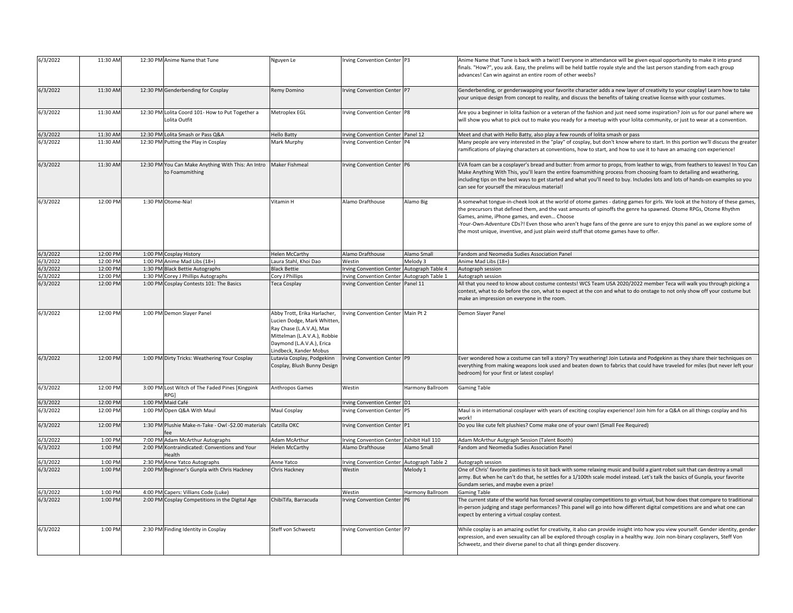| 6/3/2022             | 11:30 AM           | 12:30 PM Anime Name that Tune                                                               | Nguyen Le                                                                                                                                                                     | Irving Convention Center P3                                   |                   | Anime Name that Tune is back with a twist! Everyone in attendance will be given equal opportunity to make it into grand<br>finals. "How?", you ask. Easy, the prelims will be held battle royale style and the last person standing from each group<br>advances! Can win against an entire room of other weebs?                                                                                                                                                                                                        |
|----------------------|--------------------|---------------------------------------------------------------------------------------------|-------------------------------------------------------------------------------------------------------------------------------------------------------------------------------|---------------------------------------------------------------|-------------------|------------------------------------------------------------------------------------------------------------------------------------------------------------------------------------------------------------------------------------------------------------------------------------------------------------------------------------------------------------------------------------------------------------------------------------------------------------------------------------------------------------------------|
| 6/3/2022             | 11:30 AM           | 12:30 PM Genderbending for Cosplay                                                          | Remy Domino                                                                                                                                                                   | Irving Convention Center P7                                   |                   | Genderbending, or genderswapping your favorite character adds a new layer of creativity to your cosplay! Learn how to take<br>your unique design from concept to reality, and discuss the benefits of taking creative license with your costumes.                                                                                                                                                                                                                                                                      |
| 6/3/2022             | 11:30 AM           | 12:30 PM Lolita Coord 101- How to Put Together a<br>Lolita Outfit                           | Metroplex EGL                                                                                                                                                                 | Irving Convention Center P8                                   |                   | Are you a beginner in lolita fashion or a veteran of the fashion and just need some inspiration? Join us for our panel where we<br>will show you what to pick out to make you ready for a meetup with your lolita community, or just to wear at a convention.                                                                                                                                                                                                                                                          |
| 6/3/2022             | 11:30 AM           | 12:30 PM Lolita Smash or Pass Q&A                                                           | <b>Hello Batty</b>                                                                                                                                                            | Irving Convention Center Panel 12                             |                   | Meet and chat with Hello Batty, also play a few rounds of lolita smash or pass                                                                                                                                                                                                                                                                                                                                                                                                                                         |
| 5/3/2022             | 11:30 AM           | 12:30 PM Putting the Play in Cosplay                                                        | Mark Murphy                                                                                                                                                                   | Irving Convention Center P4                                   |                   | Many people are very interested in the "play" of cosplay, but don't know where to start. In this portion we'll discuss the greater<br>ramifications of playing characters at conventions, how to start, and how to use it to have an amazing con experience!                                                                                                                                                                                                                                                           |
| 6/3/2022             | 11:30 AM           | 12:30 PM You Can Make Anything With This: An Intro Maker Fishmeal<br>to Foamsmithing        |                                                                                                                                                                               | Irving Convention Center P6                                   |                   | EVA foam can be a cosplayer's bread and butter: from armor to props, from leather to wigs, from feathers to leaves! In You Can<br>Make Anything With This, you'll learn the entire foamsmithing process from choosing foam to detailing and weathering,<br>including tips on the best ways to get started and what you'll need to buy. Includes lots and lots of hands-on examples so you<br>can see for yourself the miraculous material!                                                                             |
| 6/3/2022             | 12:00 PM           | 1:30 PM Otome-Nia                                                                           | Vitamin H                                                                                                                                                                     | Alamo Drafthouse                                              | Alamo Big         | A somewhat tongue-in-cheek look at the world of otome games - dating games for girls. We look at the history of these games,<br>the precursors that defined them, and the vast amounts of spinoffs the genre ha spawned. Otome RPGs, Otome Rhythm<br>Games, anime, iPhone games, and even Choose<br>Your-Own-Adventure CDs?! Even those who aren't huge fans of the genre are sure to enjoy this panel as we explore some of<br>the most unique, inventive, and just plain weird stuff that otome games have to offer. |
| 6/3/2022             | 12:00 PM           | 1:00 PM Cosplay History                                                                     | <b>Helen McCarthy</b>                                                                                                                                                         | Alamo Drafthouse                                              | Alamo Small       | Fandom and Neomedia Sudies Association Panel                                                                                                                                                                                                                                                                                                                                                                                                                                                                           |
| 6/3/2022             | 12:00 PM           | 1:00 PM Anime Mad Libs (18+)                                                                | Laura Stahl, Khoi Dao                                                                                                                                                         | Westin                                                        | Melody 3          | Anime Mad Libs (18+)                                                                                                                                                                                                                                                                                                                                                                                                                                                                                                   |
| 5/3/2022             | 12:00 PM           | 1:30 PM Black Bettie Autographs                                                             | <b>Black Bettie</b>                                                                                                                                                           | <b>Irving Convention Center</b>                               | Autograph Table 4 | Autograph session                                                                                                                                                                                                                                                                                                                                                                                                                                                                                                      |
| 6/3/2022             | 12:00 PM           | 1:30 PM Corey J Phillips Autographs                                                         | Cory J Phillips                                                                                                                                                               | rving Convention Center                                       | Autograph Table 1 | Autograph session                                                                                                                                                                                                                                                                                                                                                                                                                                                                                                      |
| 6/3/2022             | 12:00 PM           | 1:00 PM Cosplay Contests 101: The Basics                                                    | Teca Cosplay                                                                                                                                                                  | <b>Irving Convention Center</b>                               | Panel 11          | All that you need to know about costume contests! WCS Team USA 2020/2022 member Teca will walk you through picking a<br>contest, what to do before the con, what to expect at the con and what to do onstage to not only show off your costume but<br>make an impression on everyone in the room.                                                                                                                                                                                                                      |
| 6/3/2022             | 12:00 PM           | 1:00 PM Demon Slayer Panel                                                                  | Abby Trott, Erika Harlacher,<br>Lucien Dodge, Mark Whitten<br>Ray Chase (L.A.V.A), Max<br>Mittelman (L.A.V.A.), Robbie<br>Daymond (L.A.V.A.), Erica<br>Lindbeck, Xander Mobus | rving Convention Center Main Pt 2                             |                   | Demon Slayer Panel                                                                                                                                                                                                                                                                                                                                                                                                                                                                                                     |
| 6/3/2022             | 12:00 PM           | 1:00 PM Dirty Tricks: Weathering Your Cosplay                                               | Lutavia Cosplay, Podgekinn<br>Cosplay, Blush Bunny Design                                                                                                                     | Irving Convention Center P9                                   |                   | Ever wondered how a costume can tell a story? Try weathering! Join Lutavia and Podgekinn as they share their techniques on<br>everything from making weapons look used and beaten down to fabrics that could have traveled for miles (but never left your<br>bedroom) for your first or latest cosplay!                                                                                                                                                                                                                |
| 6/3/2022             | 12:00 PM           | 3:00 PM Lost Witch of The Faded Pines [Kingpink<br>RPG1                                     | Anthropos Games                                                                                                                                                               | Westin                                                        | Harmony Ballroom  | <b>Gaming Table</b>                                                                                                                                                                                                                                                                                                                                                                                                                                                                                                    |
| 6/3/2022             | 12:00 PM           | 1:00 PM Maid Café                                                                           |                                                                                                                                                                               | Irving Convention Center D1                                   |                   |                                                                                                                                                                                                                                                                                                                                                                                                                                                                                                                        |
| 6/3/2022             | 12:00 PM           | 1:00 PM Open Q&A With Maul                                                                  | Maul Cosplay                                                                                                                                                                  | Irving Convention Center P5                                   |                   | Maul is in international cosplayer with years of exciting cosplay experience! Join him for a Q&A on all things cosplay and his<br>work                                                                                                                                                                                                                                                                                                                                                                                 |
| 6/3/2022             | 12:00 PM           | 1:30 PM Plushie Make-n-Take - Owl -\$2.00 materials Catzilla OKC                            |                                                                                                                                                                               | Irving Convention Center P1                                   |                   | Do you like cute felt plushies? Come make one of your own! (Small Fee Required)                                                                                                                                                                                                                                                                                                                                                                                                                                        |
| 5/3/2022<br>6/3/2022 | 1:00 PM<br>1:00 PM | 7:00 PM Adam McArthur Autographs<br>2:00 PM Kontraindicated: Conventions and Your<br>Health | Adam McArthur<br><b>Helen McCarthy</b>                                                                                                                                        | Irving Convention Center Exhibit Hall 110<br>Alamo Drafthouse | Alamo Small       | Adam McArthur Autgraph Session (Talent Booth)<br>Fandom and Neomedia Sudies Association Panel                                                                                                                                                                                                                                                                                                                                                                                                                          |
| 6/3/2022             | 1:00 PM            | 2:30 PM Anne Yatco Autographs                                                               | Anne Yatco                                                                                                                                                                    | <b>Irving Convention Center</b>                               | Autograph Table 2 | Autograph session                                                                                                                                                                                                                                                                                                                                                                                                                                                                                                      |
| 6/3/2022             | 1:00 PM            | 2:00 PM Beginner's Gunpla with Chris Hackney                                                | Chris Hackney                                                                                                                                                                 | Westin                                                        | Melody 1          | One of Chris' favorite pastimes is to sit back with some relaxing music and build a giant robot suit that can destroy a small<br>army. But when he can't do that, he settles for a 1/100th scale model instead. Let's talk the basics of Gunpla, your favorite<br>Gundam series, and maybe even a prize!                                                                                                                                                                                                               |
| 5/3/2022             | 1:00 PM            | 4:00 PM Capers: Villians Code (Luke)                                                        |                                                                                                                                                                               | Westin                                                        | Harmony Ballroom  | <b>Gaming Table</b>                                                                                                                                                                                                                                                                                                                                                                                                                                                                                                    |
| 6/3/2022             | 1:00 PM            | 2:00 PM Cosplay Competitions in the Digital Age                                             | ChibiTifa, Barracuda                                                                                                                                                          | Irving Convention Center P6                                   |                   | The current state of the world has forced several cosplay competitions to go virtual, but how does that compare to traditional<br>in-person judging and stage performances? This panel will go into how different digital competitions are and what one can<br>expect by entering a virtual cosplay contest.                                                                                                                                                                                                           |
| 6/3/2022             | 1:00 PM            | 2:30 PM Finding Identity in Cosplay                                                         | Steff von Schweetz                                                                                                                                                            | Irving Convention Center P7                                   |                   | While cosplay is an amazing outlet for creativity, it also can provide insight into how you view yourself. Gender identity, gender<br>expression, and even sexuality can all be explored through cosplay in a healthy way. Join non-binary cosplayers, Steff Von<br>Schweetz, and their diverse panel to chat all things gender discovery.                                                                                                                                                                             |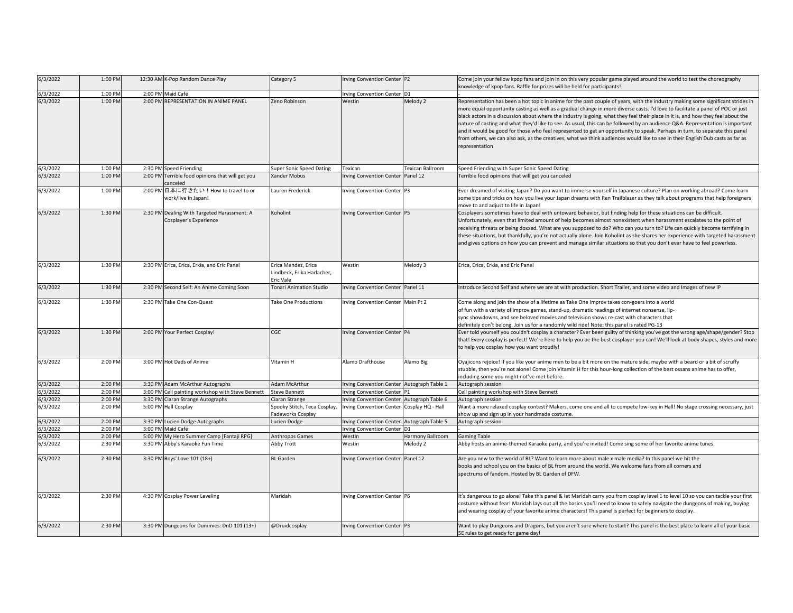| 6/3/2022 | 1:00 PM | 12:30 AM K-Pop Random Dance Play                                      | Category 5                                                     | Irving Convention Center P2                |                   | Come join your fellow kpop fans and join in on this very popular game played around the world to test the choreography<br>knowledge of kpop fans. Raffle for prizes will be held for participants!                                                                                                                                                                                                                                                                                                                                                                                                                                                                                                                                                                                                                        |
|----------|---------|-----------------------------------------------------------------------|----------------------------------------------------------------|--------------------------------------------|-------------------|---------------------------------------------------------------------------------------------------------------------------------------------------------------------------------------------------------------------------------------------------------------------------------------------------------------------------------------------------------------------------------------------------------------------------------------------------------------------------------------------------------------------------------------------------------------------------------------------------------------------------------------------------------------------------------------------------------------------------------------------------------------------------------------------------------------------------|
| 6/3/2022 | 1:00 PM | 2:00 PM Maid Café                                                     |                                                                | Irving Convention Center D1                |                   |                                                                                                                                                                                                                                                                                                                                                                                                                                                                                                                                                                                                                                                                                                                                                                                                                           |
| 6/3/2022 | 1:00 PM | 2:00 PM REPRESENTATION IN ANIME PANEL                                 | Zeno Robinson                                                  | Westin                                     | Melody 2          | Representation has been a hot topic in anime for the past couple of years, with the industry making some significant strides in<br>more equal opportunity casting as well as a gradual change in more diverse casts. I'd love to facilitate a panel of POC or just<br>black actors in a discussion about where the industry is going, what they feel their place in it is, and how they feel about the<br>nature of casting and what they'd like to see. As usual, this can be followed by an audience Q&A. Representation is important<br>and it would be good for those who feel represented to get an opportunity to speak. Perhaps in turn, to separate this panel<br>from others, we can also ask, as the creatives, what we think audiences would like to see in their English Dub casts as far as<br>epresentation |
| 6/3/2022 | 1:00 PM | 2:30 PM Speed Friending                                               | <b>Super Sonic Speed Dating</b>                                | Texican                                    | Texican Ballroom  | Speed Friending with Super Sonic Speed Dating                                                                                                                                                                                                                                                                                                                                                                                                                                                                                                                                                                                                                                                                                                                                                                             |
| 6/3/2022 | 1:00 PM | 2:00 PM Terrible food opinions that will get you<br>canceled          | Xander Mobus                                                   | <b>Irving Convention Center</b>            | Panel 12          | Terrible food opinions that will get you canceled                                                                                                                                                                                                                                                                                                                                                                                                                                                                                                                                                                                                                                                                                                                                                                         |
| 6/3/2022 | 1:00 PM | 2:00 PM 日本に行きたい! How to travel to or<br>work/live in Japan!           | Lauren Frederick                                               | Irving Convention Center P3                |                   | Ever dreamed of visiting Japan? Do you want to immerse yourself in Japanese culture? Plan on working abroad? Come learn<br>some tips and tricks on how you live your Japan dreams with Ren Trailblazer as they talk about programs that help foreigners<br>move to and adjust to life in Japan!                                                                                                                                                                                                                                                                                                                                                                                                                                                                                                                           |
| 6/3/2022 | 1:30 PM | 2:30 PM Dealing With Targeted Harassment: A<br>Cosplayer's Experience | Koholint                                                       | rving Convention Center P5                 |                   | Cosplayers sometimes have to deal with untoward behavior, but finding help for these situations can be difficult.<br>Unfortunately, even that limited amount of help becomes almost nonexistent when harassment escalates to the point of<br>receiving threats or being doxxed. What are you supposed to do? Who can you turn to? Life can quickly become terrifying in<br>these situations, but thankfully, you're not actually alone. Join Koholint as she shares her experience with targeted harassment<br>and gives options on how you can prevent and manage similar situations so that you don't ever have to feel powerless.                                                                                                                                                                                      |
| 6/3/2022 | 1:30 PM | 2:30 PM Erica, Erica, Erkia, and Eric Panel                           | Erica Mendez, Erica<br>Lindbeck, Erika Harlacher,<br>Eric Vale | Westin                                     | Melody 3          | Erica, Erica, Erkia, and Eric Panel                                                                                                                                                                                                                                                                                                                                                                                                                                                                                                                                                                                                                                                                                                                                                                                       |
| 6/3/2022 | 1:30 PM | 2:30 PM Second Self: An Anime Coming Soon                             | <b>Conari Animation Studio</b>                                 | rving Convention Center Panel 11           |                   | ntroduce Second Self and where we are at with production. Short Trailer, and some video and Images of new IP                                                                                                                                                                                                                                                                                                                                                                                                                                                                                                                                                                                                                                                                                                              |
| 6/3/2022 | 1:30 PM | 2:30 PM Take One Con-Quest                                            | ake One Productions                                            | rving Convention Center Main Pt 2          |                   | Come along and join the show of a lifetime as Take One Improv takes con-goers into a world<br>of fun with a variety of improv games, stand-up, dramatic readings of internet nonsense, lip-<br>sync showdowns, and see beloved movies and television shows re-cast with characters that<br>definitely don't belong. Join us for a randomly wild ride! Note: this panel is rated PG-13                                                                                                                                                                                                                                                                                                                                                                                                                                     |
| 6/3/2022 | 1:30 PM | 2:00 PM Your Perfect Cosplay!                                         | CGC                                                            | rving Convention Center P4                 |                   | Ever told yourself you couldn't cosplay a character? Ever been guilty of thinking you've got the wrong age/shape/gender? Stop<br>that! Every cosplay is perfect! We're here to help you be the best cosplayer you can! We'll look at body shapes, styles and more<br>to help you cosplay how you want proudly!                                                                                                                                                                                                                                                                                                                                                                                                                                                                                                            |
| 6/3/2022 | 2:00 PM | 3:00 PM Hot Dads of Anime                                             | Vitamin H                                                      | Alamo Drafthouse                           | Alamo Big         | Oyajicons rejoice! If you like your anime men to be a bit more on the mature side, maybe with a beard or a bit of scruffy<br>stubble, then you're not alone! Come join Vitamin H for this hour-long collection of the best ossans anime has to offer,<br>including some you might not've met before.                                                                                                                                                                                                                                                                                                                                                                                                                                                                                                                      |
| 6/3/2022 | 2:00 PM | 3:30 PM Adam McArthur Autographs                                      | Adam McArthur                                                  | Irving Convention Center Autograph Table 1 |                   | Autograph session                                                                                                                                                                                                                                                                                                                                                                                                                                                                                                                                                                                                                                                                                                                                                                                                         |
| 6/3/2022 | 2:00 PM | 3:00 PM Cell painting workshop with Steve Bennett                     | <b>Steve Bennett</b>                                           | Irving Convention Center P1                |                   | Cell painting workshop with Steve Bennett                                                                                                                                                                                                                                                                                                                                                                                                                                                                                                                                                                                                                                                                                                                                                                                 |
| 6/3/2022 | 2:00 PM | 3:30 PM Ciaran Strange Autographs                                     | Ciaran Strange                                                 | Irving Convention Center Autograph Table 6 |                   | Autograph session                                                                                                                                                                                                                                                                                                                                                                                                                                                                                                                                                                                                                                                                                                                                                                                                         |
| 6/3/2022 | 2:00 PM | 5:00 PM Hall Cosplay                                                  | Spooky Stitch, Teca Cosplay,<br>Fadeworks Cosplay              | <b>Irving Convention Center</b>            | Cosplay HQ - Hall | Want a more relaxed cosplay contest? Makers, come one and all to compete low-key in Hall! No stage crossing necessary, just<br>show up and sign up in your handmade costume.                                                                                                                                                                                                                                                                                                                                                                                                                                                                                                                                                                                                                                              |
| 6/3/2022 | 2:00 PM | 3:30 PM Lucien Dodge Autographs                                       | Lucien Dodge                                                   | Irving Convention Center Autograph Table 5 |                   | Autograph session                                                                                                                                                                                                                                                                                                                                                                                                                                                                                                                                                                                                                                                                                                                                                                                                         |
| 6/3/2022 | 2:00 PM | 3:00 PM Maid Café                                                     |                                                                | Irving Convention Center D1                |                   |                                                                                                                                                                                                                                                                                                                                                                                                                                                                                                                                                                                                                                                                                                                                                                                                                           |
| 6/3/2022 | 2:00 PM | 5:00 PM My Hero Summer Camp [Fantaji RPG]                             | Anthropos Games                                                | Westin                                     | Harmony Ballroom  | <b>Gaming Table</b>                                                                                                                                                                                                                                                                                                                                                                                                                                                                                                                                                                                                                                                                                                                                                                                                       |
| 6/3/2022 | 2:30 PM | 3:30 PM Abby's Karaoke Fun Time                                       | Abby Trott                                                     | Westin                                     | Melody 2          | Abby hosts an anime-themed Karaoke party, and you're invited! Come sing some of her favorite anime tunes.                                                                                                                                                                                                                                                                                                                                                                                                                                                                                                                                                                                                                                                                                                                 |
| 6/3/2022 | 2:30 PM | 3:30 PM Boys' Love 101 (18+)                                          | <b>BL</b> Garden                                               | Irving Convention Center Panel 12          |                   | Are you new to the world of BL? Want to learn more about male x male media? In this panel we hit the<br>books and school you on the basics of BL from around the world. We welcome fans from all corners and<br>spectrums of fandom. Hosted by BL Garden of DFW.                                                                                                                                                                                                                                                                                                                                                                                                                                                                                                                                                          |
| 6/3/2022 | 2:30 PM | 4:30 PM Cosplay Power Leveling                                        | Maridah                                                        | rving Convention Center P6                 |                   | It's dangerous to go alone! Take this panel & let Maridah carry you from cosplay level 1 to level 10 so you can tackle your first<br>costume without fear! Maridah lays out all the basics you'll need to know to safely navigate the dungeons of making, buying<br>and wearing cosplay of your favorite anime characters! This panel is perfect for beginners to cosplay.                                                                                                                                                                                                                                                                                                                                                                                                                                                |
| 6/3/2022 | 2:30 PM | 3:30 PM Dungeons for Dummies: DnD 101 (13+)                           | @Druidcosplay                                                  | rving Convention Center P3                 |                   | Want to play Dungeons and Dragons, but you aren't sure where to start? This panel is the best place to learn all of your basic<br>5E rules to get ready for game day!                                                                                                                                                                                                                                                                                                                                                                                                                                                                                                                                                                                                                                                     |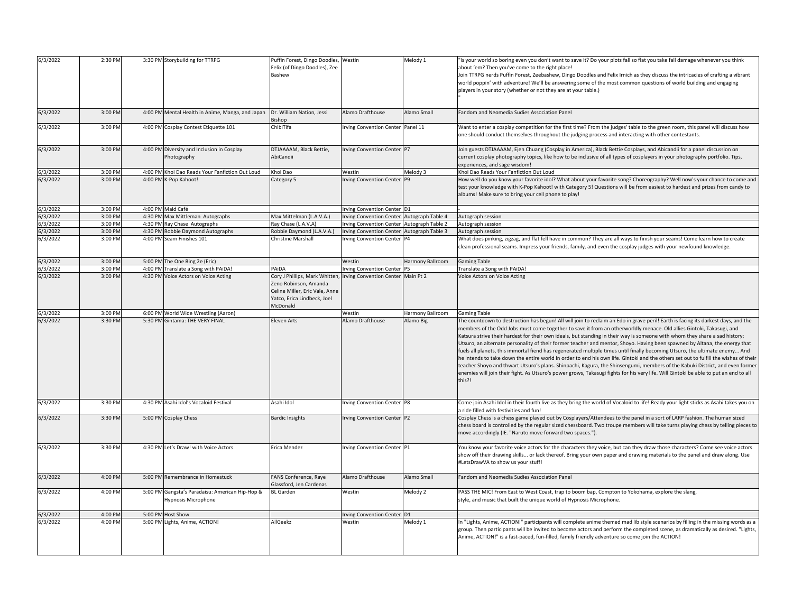| 6/3/2022 | 2:30 PM | 3:30 PM Storybuilding for TTRPG                                        | Puffin Forest, Dingo Doodles,<br>Felix (of Dingo Doodles), Zee<br>Bashew                                                             | Westin                                     | Melody 1         | "Is your world so boring even you don't want to save it? Do your plots fall so flat you take fall damage whenever you think<br>about 'em? Then you've come to the right place!<br>Join TTRPG nerds Puffin Forest, Zeebashew, Dingo Doodles and Felix Irnich as they discuss the intricacies of crafting a vibrant<br>world poppin' with adventure! We'll be answering some of the most common questions of world building and engaging<br>players in your story (whether or not they are at your table.)                                                                                                                                                                                                                                                                                                                                                                                                                                                                                                                                                                        |
|----------|---------|------------------------------------------------------------------------|--------------------------------------------------------------------------------------------------------------------------------------|--------------------------------------------|------------------|---------------------------------------------------------------------------------------------------------------------------------------------------------------------------------------------------------------------------------------------------------------------------------------------------------------------------------------------------------------------------------------------------------------------------------------------------------------------------------------------------------------------------------------------------------------------------------------------------------------------------------------------------------------------------------------------------------------------------------------------------------------------------------------------------------------------------------------------------------------------------------------------------------------------------------------------------------------------------------------------------------------------------------------------------------------------------------|
| 6/3/2022 | 3:00 PM | 4:00 PM Mental Health in Anime, Manga, and Japan                       | Dr. William Nation, Jessi<br>Bishop                                                                                                  | Alamo Drafthouse                           | Alamo Small      | Fandom and Neomedia Sudies Association Panel                                                                                                                                                                                                                                                                                                                                                                                                                                                                                                                                                                                                                                                                                                                                                                                                                                                                                                                                                                                                                                    |
| 6/3/2022 | 3:00 PM | 4:00 PM Cosplay Contest Etiquette 101                                  | ChibiTifa                                                                                                                            | Irving Convention Center Panel 11          |                  | Want to enter a cosplay competition for the first time? From the judges' table to the green room, this panel will discuss how<br>one should conduct themselves throughout the judging process and interacting with other contestants.                                                                                                                                                                                                                                                                                                                                                                                                                                                                                                                                                                                                                                                                                                                                                                                                                                           |
| 6/3/2022 | 3:00 PM | 4:00 PM Diversity and Inclusion in Cosplay<br>Photography              | DTJAAAAM, Black Bettie,<br>AbiCandii                                                                                                 | Irving Convention Center P7                |                  | Join guests DTJAAAAM, Ejen Chuang (Cosplay in America), Black Bettie Cosplays, and Abicandii for a panel discussion on<br>current cosplay photography topics, like how to be inclusive of all types of cosplayers in your photography portfolio. Tips,<br>experiences, and sage wisdom!                                                                                                                                                                                                                                                                                                                                                                                                                                                                                                                                                                                                                                                                                                                                                                                         |
| 5/3/2022 | 3:00 PM | 4:00 PM Khoi Dao Reads Your Fanfiction Out Loud                        | Khoi Dao                                                                                                                             | Westin                                     | Melody 3         | Khoi Dao Reads Your Fanfiction Out Loud                                                                                                                                                                                                                                                                                                                                                                                                                                                                                                                                                                                                                                                                                                                                                                                                                                                                                                                                                                                                                                         |
| 6/3/2022 | 3:00 PM | 4:00 PM K-Pop Kahoot!                                                  | Category 5                                                                                                                           | Irving Convention Center P9                |                  | How well do you know your favorite idol? What about your favorite song? Choreography? Well now's your chance to come and<br>test your knowledge with K-Pop Kahoot! with Category 5! Questions will be from easiest to hardest and prizes from candy to<br>albums! Make sure to bring your cell phone to play!                                                                                                                                                                                                                                                                                                                                                                                                                                                                                                                                                                                                                                                                                                                                                                   |
| 5/3/2022 | 3:00 PM | 4:00 PM Maid Café                                                      |                                                                                                                                      | Irving Convention Center D1                |                  |                                                                                                                                                                                                                                                                                                                                                                                                                                                                                                                                                                                                                                                                                                                                                                                                                                                                                                                                                                                                                                                                                 |
| 5/3/2022 | 3:00 PM | 4:30 PM Max Mittleman Autographs                                       | Max Mittelman (L.A.V.A.)                                                                                                             | Irving Convention Center Autograph Table 4 |                  | Autograph session                                                                                                                                                                                                                                                                                                                                                                                                                                                                                                                                                                                                                                                                                                                                                                                                                                                                                                                                                                                                                                                               |
| 5/3/2022 | 3:00 PM | 4:30 PM Ray Chase Autographs                                           | Ray Chase (L.A.V.A)                                                                                                                  | Irving Convention Center Autograph Table 2 |                  | Autograph session                                                                                                                                                                                                                                                                                                                                                                                                                                                                                                                                                                                                                                                                                                                                                                                                                                                                                                                                                                                                                                                               |
| 6/3/2022 | 3:00 PM | 4:30 PM Robbie Daymond Autographs                                      | Robbie Daymond (L.A.V.A.)                                                                                                            | Irving Convention Center Autograph Table 3 |                  | Autograph session                                                                                                                                                                                                                                                                                                                                                                                                                                                                                                                                                                                                                                                                                                                                                                                                                                                                                                                                                                                                                                                               |
| 6/3/2022 | 3:00 PM | 4:00 PM Seam Finishes 101                                              | Christine Marshall                                                                                                                   | Irving Convention Center P4                |                  | What does pinking, zigzag, and flat fell have in common? They are all ways to finish your seams! Come learn how to create<br>clean professional seams. Impress your friends, family, and even the cosplay judges with your newfound knowledge.                                                                                                                                                                                                                                                                                                                                                                                                                                                                                                                                                                                                                                                                                                                                                                                                                                  |
| 5/3/2022 | 3:00 PM | 5:00 PM The One Ring 2e (Eric)                                         |                                                                                                                                      | Westin                                     | Harmony Ballroom | <b>Gaming Table</b>                                                                                                                                                                                                                                                                                                                                                                                                                                                                                                                                                                                                                                                                                                                                                                                                                                                                                                                                                                                                                                                             |
| 6/3/2022 | 3:00 PM | 4:00 PM Translate a Song with PAiDA!                                   | PAIDA                                                                                                                                | <b>Irving Convention Center</b>            | P <sub>5</sub>   | Translate a Song with PAiDA!                                                                                                                                                                                                                                                                                                                                                                                                                                                                                                                                                                                                                                                                                                                                                                                                                                                                                                                                                                                                                                                    |
| 6/3/2022 | 3:00 PM | 4:30 PM Voice Actors on Voice Acting                                   | Cory J Phillips, Mark Whitten,<br>Zeno Robinson, Amanda<br>Celine Miller, Eric Vale, Anne<br>Yatco, Erica Lindbeck, Joel<br>McDonald | Irving Convention Center Main Pt 2         |                  | Voice Actors on Voice Acting                                                                                                                                                                                                                                                                                                                                                                                                                                                                                                                                                                                                                                                                                                                                                                                                                                                                                                                                                                                                                                                    |
| 5/3/2022 | 3:00 PM | 6:00 PM World Wide Wrestling (Aaron)                                   |                                                                                                                                      | Westin                                     | Harmony Ballroom | <b>Gaming Table</b>                                                                                                                                                                                                                                                                                                                                                                                                                                                                                                                                                                                                                                                                                                                                                                                                                                                                                                                                                                                                                                                             |
| 6/3/2022 | 3:30 PM | 5:30 PM Gintama: THE VERY FINAL                                        | <b>Eleven Arts</b>                                                                                                                   | Alamo Drafthouse                           | Alamo Big        | The countdown to destruction has begun! All will join to reclaim an Edo in grave peril! Earth is facing its darkest days, and the<br>members of the Odd Jobs must come together to save it from an otherworldly menace. Old allies Gintoki, Takasugi, and<br>Katsura strive their hardest for their own ideals, but standing in their way is someone with whom they share a sad history:<br>Utsuro, an alternate personality of their former teacher and mentor, Shoyo. Having been spawned by Altana, the energy that<br>fuels all planets, this immortal fiend has regenerated multiple times until finally becoming Utsuro, the ultimate enemy And<br>he intends to take down the entire world in order to end his own life. Gintoki and the others set out to fulfill the wishes of their<br>teacher Shoyo and thwart Utsuro's plans. Shinpachi, Kagura, the Shinsengumi, members of the Kabuki District, and even former<br>enemies will join their fight. As Utsuro's power grows, Takasugi fights for his very life. Will Gintoki be able to put an end to all<br>this?! |
| 6/3/2022 | 3:30 PM | 4:30 PM Asahi Idol's Vocaloid Festival                                 | Asahi Idol                                                                                                                           | Irving Convention Center P8                |                  | Come join Asahi Idol in their fourth live as they bring the world of Vocaloid to life! Ready your light sticks as Asahi takes you on<br>a ride filled with festivities and fun!                                                                                                                                                                                                                                                                                                                                                                                                                                                                                                                                                                                                                                                                                                                                                                                                                                                                                                 |
| 6/3/2022 | 3:30 PM | 5:00 PM Cosplay Chess                                                  | <b>Bardic Insights</b>                                                                                                               | Irving Convention Center P2                |                  | Cosplay Chess is a chess game played out by Cosplayers/Attendees to the panel in a sort of LARP fashion. The human sized<br>chess board is controlled by the regular sized chessboard. Two troupe members will take turns playing chess by telling pieces to<br>move accordingly (IE. "Naruto move forward two spaces.").                                                                                                                                                                                                                                                                                                                                                                                                                                                                                                                                                                                                                                                                                                                                                       |
| 6/3/2022 | 3:30 PM | 4:30 PM Let's Draw! with Voice Actors                                  | Erica Mendez                                                                                                                         | Irving Convention Center P1                |                  | You know your favorite voice actors for the characters they voice, but can they draw those characters? Come see voice actors<br>show off their drawing skills or lack thereof. Bring your own paper and drawing materials to the panel and draw along. Use<br>#LetsDrawVA to show us your stuff!                                                                                                                                                                                                                                                                                                                                                                                                                                                                                                                                                                                                                                                                                                                                                                                |
| 6/3/2022 | 4:00 PM | 5:00 PM Remembrance in Homestuck                                       | FANS Conference, Raye<br>Glassford, Jen Cardenas                                                                                     | Alamo Drafthouse                           | Alamo Small      | Fandom and Neomedia Sudies Association Panel                                                                                                                                                                                                                                                                                                                                                                                                                                                                                                                                                                                                                                                                                                                                                                                                                                                                                                                                                                                                                                    |
| 6/3/2022 | 4:00 PM | 5:00 PM Gangsta's Paradaisu: American Hip-Hop &<br>Hypnosis Microphone | <b>BL</b> Garden                                                                                                                     | Westin                                     | Melody 2         | PASS THE MIC! From East to West Coast, trap to boom bap, Compton to Yokohama, explore the slang,<br>style, and music that built the unique world of Hypnosis Microphone.                                                                                                                                                                                                                                                                                                                                                                                                                                                                                                                                                                                                                                                                                                                                                                                                                                                                                                        |
| 5/3/2022 | 4:00 PM | 5:00 PM Host Show                                                      |                                                                                                                                      | Irving Convention Center D1                |                  |                                                                                                                                                                                                                                                                                                                                                                                                                                                                                                                                                                                                                                                                                                                                                                                                                                                                                                                                                                                                                                                                                 |
| 6/3/2022 | 4:00 PM | 5:00 PM Lights, Anime, ACTION!                                         | AllGeekz                                                                                                                             | Westin                                     | Melody 1         | In "Lights, Anime, ACTION!" participants will complete anime themed mad lib style scenarios by filling in the missing words as a<br>group. Then participants will be invited to become actors and perform the completed scene, as dramatically as desired. "Lights,<br>Anime, ACTION!" is a fast-paced, fun-filled, family friendly adventure so come join the ACTION!                                                                                                                                                                                                                                                                                                                                                                                                                                                                                                                                                                                                                                                                                                          |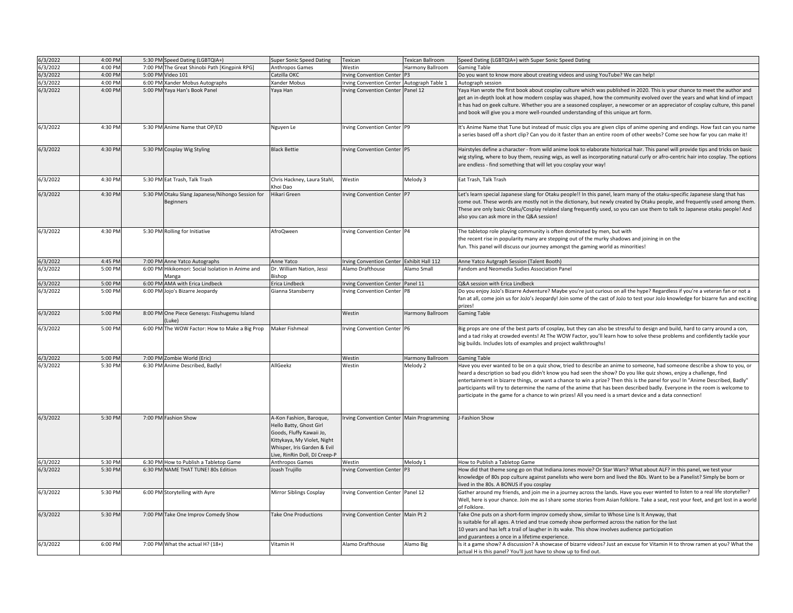| 6/3/2022 | 4:00 PM | 5:30 PM Speed Dating (LGBTQIA+)                                      | <b>Super Sonic Speed Dating</b>                                                                                                                                              | Texican                                   | Texican Ballroom | Speed Dating (LGBTQIA+) with Super Sonic Speed Dating                                                                                                                                                                                                                                                                                                                                                                                                                                                                                                                                                                     |
|----------|---------|----------------------------------------------------------------------|------------------------------------------------------------------------------------------------------------------------------------------------------------------------------|-------------------------------------------|------------------|---------------------------------------------------------------------------------------------------------------------------------------------------------------------------------------------------------------------------------------------------------------------------------------------------------------------------------------------------------------------------------------------------------------------------------------------------------------------------------------------------------------------------------------------------------------------------------------------------------------------------|
| 6/3/2022 | 4:00 PM | 7:00 PM The Great Shinobi Path [Kingpink RPG]                        | Anthropos Games                                                                                                                                                              | Westin                                    | Harmony Ballroom | <b>Gaming Table</b>                                                                                                                                                                                                                                                                                                                                                                                                                                                                                                                                                                                                       |
| 6/3/2022 | 4:00 PM | 5:00 PM Video 101                                                    | Catzilla OKC                                                                                                                                                                 | <b>Irving Convention Center</b>           |                  | Do you want to know more about creating videos and using YouTube? We can help!                                                                                                                                                                                                                                                                                                                                                                                                                                                                                                                                            |
| 6/3/2022 | 4:00 PM | 6:00 PM Xander Mobus Autographs                                      | Kander Mobus                                                                                                                                                                 | rving Convention Center Autograph Table 1 |                  | Autograph session                                                                                                                                                                                                                                                                                                                                                                                                                                                                                                                                                                                                         |
| 6/3/2022 | 4:00 PM | 5:00 PM Yaya Han's Book Panel                                        | Yaya Han                                                                                                                                                                     | Irving Convention Center Panel 12         |                  | Yaya Han wrote the first book about cosplay culture which was published in 2020. This is your chance to meet the author and<br>get an in-depth look at how modern cosplay was shaped, how the community evolved over the years and what kind of impact<br>it has had on geek culture. Whether you are a seasoned cosplayer, a newcomer or an appreciator of cosplay culture, this panel<br>and book will give you a more well-rounded understanding of this unique art form.                                                                                                                                              |
| 6/3/2022 | 4:30 PM | 5:30 PM Anime Name that OP/ED                                        | Nguyen Le                                                                                                                                                                    | Irving Convention Center P9               |                  | It's Anime Name that Tune but instead of music clips you are given clips of anime opening and endings. How fast can you name<br>a series based off a short clip? Can you do it faster than an entire room of other weebs? Come see how far you can make it!                                                                                                                                                                                                                                                                                                                                                               |
| 6/3/2022 | 4:30 PM | 5:30 PM Cosplay Wig Styling                                          | <b>Black Bettie</b>                                                                                                                                                          | Irving Convention Center P5               |                  | Hairstyles define a character - from wild anime look to elaborate historical hair. This panel will provide tips and tricks on basic<br>wig styling, where to buy them, reusing wigs, as well as incorporating natural curly or afro-centric hair into cosplay. The options<br>are endless - find something that will let you cosplay your way!                                                                                                                                                                                                                                                                            |
| 6/3/2022 | 4:30 PM | 5:30 PM Eat Trash, Talk Trash                                        | Chris Hackney, Laura Stahl,<br>Khoi Dao                                                                                                                                      | Westin                                    | Melody 3         | Eat Trash, Talk Trash                                                                                                                                                                                                                                                                                                                                                                                                                                                                                                                                                                                                     |
| 6/3/2022 | 4:30 PM | 5:30 PM Otaku Slang Japanese/Nihongo Session for<br><b>Beginners</b> | likari Green                                                                                                                                                                 | Irving Convention Center P7               |                  | Let's learn special Japanese slang for Otaku people!! In this panel, learn many of the otaku-specific Japanese slang that has<br>ome out. These words are mostly not in the dictionary, but newly created by Otaku people, and frequently used among them<br>These are only basic Otaku/Cosplay related slang frequently used, so you can use them to talk to Japanese otaku people! And<br>also you can ask more in the Q&A session!                                                                                                                                                                                     |
| 6/3/2022 | 4:30 PM | 5:30 PM Rolling for Initiative                                       | AfroQween                                                                                                                                                                    | Irving Convention Center P4               |                  | The tabletop role playing community is often dominated by men, but with<br>the recent rise in popularity many are stepping out of the murky shadows and joining in on the<br>fun. This panel will discuss our journey amongst the gaming world as minorities!                                                                                                                                                                                                                                                                                                                                                             |
| 6/3/2022 | 4:45 PM | 7:00 PM Anne Yatco Autographs                                        | Anne Yatco                                                                                                                                                                   | Irving Convention Center Exhibit Hall 112 |                  | Anne Yatco Autgraph Session (Talent Booth)                                                                                                                                                                                                                                                                                                                                                                                                                                                                                                                                                                                |
| 6/3/2022 | 5:00 PM | 6:00 PM Hikikomori: Social Isolation in Anime and<br>Aanga           | Dr. William Nation, Jessi<br>dishop                                                                                                                                          | Alamo Drafthouse                          | Alamo Small      | Fandom and Neomedia Sudies Association Panel                                                                                                                                                                                                                                                                                                                                                                                                                                                                                                                                                                              |
| 6/3/2022 | 5:00 PM | 6:00 PM AMA with Erica Lindbeck                                      | Erica Lindbeck                                                                                                                                                               | Irving Convention Center Panel 11         |                  | Q&A session with Erica Lindbeck                                                                                                                                                                                                                                                                                                                                                                                                                                                                                                                                                                                           |
| 6/3/2022 | 5:00 PM | 6:00 PM Jojo's Bizarre Jeopardy                                      | Gianna Stansberry                                                                                                                                                            | Irving Convention Center P8               |                  | Do you enjoy JoJo's Bizarre Adventure? Maybe you're just curious on all the hype? Regardless if you're a veteran fan or not a                                                                                                                                                                                                                                                                                                                                                                                                                                                                                             |
|          |         |                                                                      |                                                                                                                                                                              |                                           |                  | fan at all, come join us for JoJo's Jeopardy! Join some of the cast of JoJo to test your JoJo knowledge for bizarre fun and exciting<br>prizes!                                                                                                                                                                                                                                                                                                                                                                                                                                                                           |
| 6/3/2022 | 5:00 PM | 8:00 PM One Piece Genesys: Fisshugemu Island<br>Luke                 |                                                                                                                                                                              | Westin                                    | Harmony Ballroom | <b>Gaming Table</b>                                                                                                                                                                                                                                                                                                                                                                                                                                                                                                                                                                                                       |
| 6/3/2022 | 5:00 PM | 6:00 PM The WOW Factor: How to Make a Big Prop                       | Maker Fishmeal                                                                                                                                                               | Irving Convention Center P6               |                  | Big props are one of the best parts of cosplay, but they can also be stressful to design and build, hard to carry around a con,<br>and a tad risky at crowded events! At The WOW Factor, you'll learn how to solve these problems and confidently tackle your<br>big builds. Includes lots of examples and project walkthroughs!                                                                                                                                                                                                                                                                                          |
| 6/3/2022 | 5:00 PM | 7:00 PM Zombie World (Eric)                                          |                                                                                                                                                                              | Westin                                    | Harmony Ballroom | <b>Gaming Table</b>                                                                                                                                                                                                                                                                                                                                                                                                                                                                                                                                                                                                       |
| 6/3/2022 | 5:30 PM | 6:30 PM Anime Described, Badly!                                      | AllGeekz                                                                                                                                                                     | Westin                                    | Melody 2         | Have you ever wanted to be on a quiz show, tried to describe an anime to someone, had someone describe a show to you, or<br>heard a description so bad you didn't know you had seen the show? Do you like quiz shows, enjoy a challenge, find<br>entertainment in bizarre things, or want a chance to win a prize? Then this is the panel for you! In "Anime Described, Badly"<br>participants will try to determine the name of the anime that has been described badly. Everyone in the room is welcome to<br>participate in the game for a chance to win prizes! All you need is a smart device and a data connection! |
| 6/3/2022 | 5:30 PM | 7:00 PM Fashion Show                                                 | A-Kon Fashion, Baroque,<br>Hello Batty, Ghost Girl<br>Goods, Fluffy Kawaii Jo,<br>Kittykaya, My Violet, Night<br>Whisper, Iris Garden & Evil<br>ive, RinRin Doll, DJ Creep-P | Irving Convention Center Main Programming |                  | J-Fashion Show                                                                                                                                                                                                                                                                                                                                                                                                                                                                                                                                                                                                            |
| 6/3/2022 | 5:30 PM | 6:30 PM How to Publish a Tabletop Game                               | Anthropos Games                                                                                                                                                              | Westin                                    | Melody 1         | How to Publish a Tabletop Game                                                                                                                                                                                                                                                                                                                                                                                                                                                                                                                                                                                            |
| 6/3/2022 | 5:30 PM | 6:30 PM NAME THAT TUNE! 80s Edition                                  | Joash Trujillo                                                                                                                                                               | rving Convention Center P3                |                  | How did that theme song go on that Indiana Jones movie? Or Star Wars? What about ALF? in this panel, we test your<br>knowledge of 80s pop culture against panelists who were born and lived the 80s. Want to be a Panelist? Simply be born or<br>lived in the 80s. A BONUS if you cosplay                                                                                                                                                                                                                                                                                                                                 |
| 6/3/2022 | 5:30 PM | 6:00 PM Storytelling with Ayre                                       | Mirror Siblings Cosplay                                                                                                                                                      | rving Convention Center Panel 12          |                  | Gather around my friends, and join me in a journey across the lands. Have you ever wanted to listen to a real life storyteller?<br>Well, here is your chance. Join me as I share some stories from Asian folklore. Take a seat, rest your feet, and get lost in a world<br>of Folklore.                                                                                                                                                                                                                                                                                                                                   |
| 6/3/2022 | 5:30 PM | 7:00 PM Take One Improv Comedy Show                                  | <b>Take One Productions</b>                                                                                                                                                  | Irving Convention Center Main Pt 2        |                  | Take One puts on a short-form improv comedy show, similar to Whose Line Is It Anyway, that<br>is suitable for all ages. A tried and true comedy show performed across the nation for the last<br>10 years and has left a trail of laugher in its wake. This show involves audience participation<br>and guarantees a once in a lifetime experience.                                                                                                                                                                                                                                                                       |
| 6/3/2022 | 6:00 PM | 7:00 PM What the actual H? (18+)                                     | Vitamin H                                                                                                                                                                    | Alamo Drafthouse                          | Alamo Big        | Is it a game show? A discussion? A showcase of bizarre videos? Just an excuse for Vitamin H to throw ramen at you? What the<br>actual H is this panel? You'll just have to show up to find out.                                                                                                                                                                                                                                                                                                                                                                                                                           |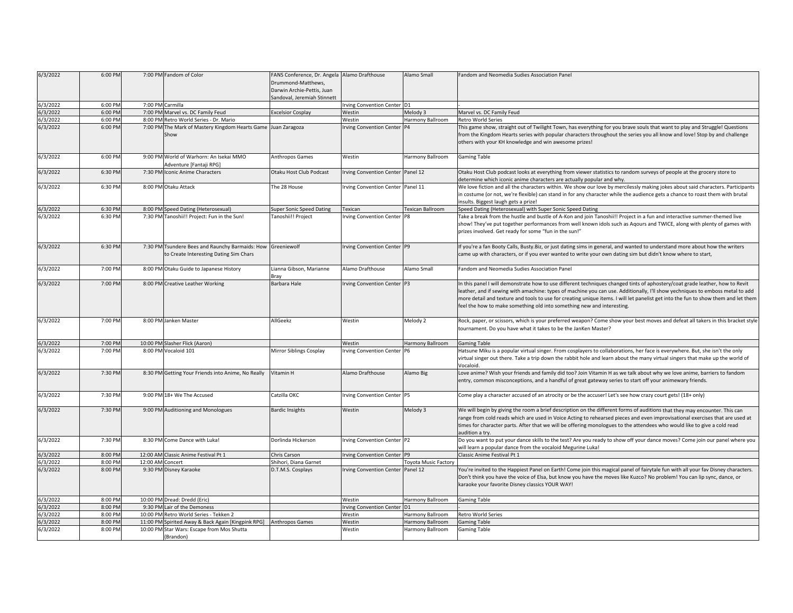| 6/3/2022 | 6:00 PM |                  | 7:00 PM Fandom of Color                                       | FANS Conference, Dr. Angela Alamo Drafthouse<br>Drummond-Matthews, |                                   | Alamo Small                 | Fandom and Neomedia Sudies Association Panel                                                                                         |
|----------|---------|------------------|---------------------------------------------------------------|--------------------------------------------------------------------|-----------------------------------|-----------------------------|--------------------------------------------------------------------------------------------------------------------------------------|
|          |         |                  |                                                               | Darwin Archie-Pettis, Juan                                         |                                   |                             |                                                                                                                                      |
|          |         |                  |                                                               | Sandoval, Jeremiah Stinnett                                        |                                   |                             |                                                                                                                                      |
| 6/3/2022 | 6:00 PM |                  | 7:00 PM Carmilla                                              |                                                                    | Irving Convention Center D1       |                             |                                                                                                                                      |
| 6/3/2022 | 6:00 PM |                  | 7:00 PM Marvel vs. DC Family Feud                             | <b>Excelsior Cosplay</b>                                           | Westin                            | Melody 3                    | Marvel vs. DC Family Feud                                                                                                            |
| 6/3/2022 | 6:00 PM |                  | 8:00 PM Retro World Series - Dr. Mario                        |                                                                    | Westin                            | Harmony Ballroom            | Retro World Series                                                                                                                   |
| 6/3/2022 | 6:00 PM |                  | 7:00 PM The Mark of Mastery Kingdom Hearts Game Juan Zaragoza |                                                                    | <b>Irving Convention Center</b>   | <b>P4</b>                   | This game show, straight out of Twilight Town, has everything for you brave souls that want to play and Struggle! Questions          |
|          |         |                  | Show                                                          |                                                                    |                                   |                             | from the Kingdom Hearts series with popular characters throughout the series you all know and love! Stop by and challenge            |
|          |         |                  |                                                               |                                                                    |                                   |                             | others with your KH knowledge and win awesome prizes!                                                                                |
| 6/3/2022 | 6:00 PM |                  | 9:00 PM World of Warhorn: An Isekai MMO                       | Anthropos Games                                                    | Westin                            | Harmony Ballroom            | <b>Gaming Table</b>                                                                                                                  |
|          |         |                  | Adventure [Fantaji RPG]                                       |                                                                    |                                   |                             |                                                                                                                                      |
| 6/3/2022 | 6:30 PM |                  | 7:30 PM Iconic Anime Characters                               | Otaku Host Club Podcast                                            | Irving Convention Center Panel 12 |                             | Otaku Host Club podcast looks at everything from viewer statistics to random surveys of people at the grocery store to               |
|          |         |                  |                                                               |                                                                    |                                   |                             | determine which iconic anime characters are actually popular and why.                                                                |
| 6/3/2022 | 6:30 PM |                  | 8:00 PM Otaku Attack                                          | The 28 House                                                       | rving Convention Center Panel 11  |                             | We love fiction and all the characters within. We show our love by mercilessly making jokes about said characters. Participants      |
|          |         |                  |                                                               |                                                                    |                                   |                             | in costume (or not, we're flexible) can stand in for any character while the audience gets a chance to roast them with brutal        |
|          |         |                  |                                                               |                                                                    |                                   |                             | nsults. Biggest laugh gets a prize!                                                                                                  |
| 6/3/2022 | 6:30 PM |                  | 8:00 PM Speed Dating (Heterosexual)                           | Super Sonic Speed Dating                                           | Texican                           | Fexican Ballroom            | Speed Dating (Heterosexual) with Super Sonic Speed Dating                                                                            |
| 6/3/2022 | 6:30 PM |                  | 7:30 PM Tanoshii!! Project: Fun in the Sun!                   | Tanoshii!! Project                                                 | Irving Convention Center P8       |                             | Take a break from the hustle and bustle of A-Kon and join Tanoshii!! Project in a fun and interactive summer-themed live             |
|          |         |                  |                                                               |                                                                    |                                   |                             | show! They've put together performances from well known idols such as Aqours and TWICE, along with plenty of games with              |
|          |         |                  |                                                               |                                                                    |                                   |                             | prizes involved. Get ready for some "fun in the sun!"                                                                                |
|          |         |                  |                                                               |                                                                    |                                   |                             |                                                                                                                                      |
| 6/3/2022 | 6:30 PM |                  | 7:30 PM Tsundere Bees and Raunchy Barmaids: How               | Greeniewolf                                                        | Irving Convention Center P9       |                             | If you're a fan Booty Calls, Busty.Biz, or just dating sims in general, and wanted to understand more about how the writers          |
|          |         |                  | to Create Interesting Dating Sim Chars                        |                                                                    |                                   |                             | came up with characters, or if you ever wanted to write your own dating sim but didn't know where to start,                          |
| 6/3/2022 | 7:00 PM |                  |                                                               | Lianna Gibson, Marianne                                            | Alamo Drafthouse                  | Alamo Small                 | Fandom and Neomedia Sudies Association Panel                                                                                         |
|          |         |                  | 8:00 PM Otaku Guide to Japanese History                       | Bray                                                               |                                   |                             |                                                                                                                                      |
| 6/3/2022 | 7:00 PM |                  | 8:00 PM Creative Leather Working                              | Barbara Hale                                                       | Irving Convention Center P3       |                             | n this panel I will demonstrate how to use different techniques changed tints of aphostery/coat grade leather, how to Revit          |
|          |         |                  |                                                               |                                                                    |                                   |                             | leather, and if sewing with amachine: types of machine you can use. Additionally, I'll show yechniques to emboss metal to add        |
|          |         |                  |                                                               |                                                                    |                                   |                             | more detail and texture and tools to use for creating unique items. I will let panelist get into the fun to show them and let them   |
|          |         |                  |                                                               |                                                                    |                                   |                             | feel the how to make something old into something new and interesting.                                                               |
|          |         |                  |                                                               |                                                                    |                                   |                             |                                                                                                                                      |
| 6/3/2022 | 7:00 PM |                  | 8:00 PM Janken Master                                         | AllGeekz                                                           | Westin                            | Melody 2                    | Rock, paper, or scissors, which is your preferred weapon? Come show your best moves and defeat all takers in this bracket style      |
|          |         |                  |                                                               |                                                                    |                                   |                             | tournament. Do you have what it takes to be the JanKen Master?                                                                       |
|          |         |                  |                                                               |                                                                    |                                   |                             |                                                                                                                                      |
| 6/3/2022 | 7:00 PM |                  | 10:00 PM Slasher Flick (Aaron)                                |                                                                    | Westin                            | Harmony Ballroom            | <b>Gaming Table</b>                                                                                                                  |
| 6/3/2022 | 7:00 PM |                  | 8:00 PM Vocaloid 101                                          | Mirror Siblings Cosplay                                            | rving Convention Center P6        |                             | Hatsune Miku is a popular virtual singer. From cosplayers to collaborations, her face is everywhere. But, she isn't the only         |
|          |         |                  |                                                               |                                                                    |                                   |                             | virtual singer out there. Take a trip down the rabbit hole and learn about the many virtual singers that make up the world of        |
| 6/3/2022 | 7:30 PM |                  | 8:30 PM Getting Your Friends into Anime, No Really            | Vitamin H                                                          | Alamo Drafthouse                  |                             | Vocaloid.<br>Love anime? Wish your friends and family did too? Join Vitamin H as we talk about why we love anime, barriers to fandom |
|          |         |                  |                                                               |                                                                    |                                   | Alamo Big                   | entry, common misconceptions, and a handful of great gateway series to start off your animewary friends.                             |
|          |         |                  |                                                               |                                                                    |                                   |                             |                                                                                                                                      |
| 6/3/2022 | 7:30 PM |                  | 9:00 PM 18+ We The Accused                                    | Catzilla OKC                                                       | Irving Convention Center P5       |                             | Come play a character accused of an atrocity or be the accuser! Let's see how crazy court gets! (18+ only)                           |
|          |         |                  |                                                               |                                                                    |                                   |                             |                                                                                                                                      |
| 6/3/2022 | 7:30 PM |                  | 9:00 PM Auditioning and Monologues                            | <b>Bardic Insights</b>                                             | Westin                            | Melody 3                    | We will begin by giving the room a brief description on the different forms of auditions that they may encounter. This can           |
|          |         |                  |                                                               |                                                                    |                                   |                             | range from cold reads which are used in Voice Acting to rehearsed pieces and even improvisational exercises that are used at         |
|          |         |                  |                                                               |                                                                    |                                   |                             | times for character parts. After that we will be offering monologues to the attendees who would like to give a cold read             |
|          |         |                  |                                                               |                                                                    |                                   |                             | audition a try.                                                                                                                      |
| 6/3/2022 | 7:30 PM |                  | 8:30 PM Come Dance with Luka!                                 | Dorlinda Hickerson                                                 | Irving Convention Center P2       |                             | Do you want to put your dance skills to the test? Are you ready to show off your dance moves? Come join our panel where you          |
|          |         |                  |                                                               |                                                                    |                                   |                             | will learn a popular dance from the vocaloid Megurine Luka!                                                                          |
| 6/3/2022 | 8:00 PM |                  | 12:00 AM Classic Anime Festival Pt 1                          | Chris Carson                                                       | rving Convention Center P9        |                             | Classic Anime Festival Pt 1                                                                                                          |
| 6/3/2022 | 8:00 PM | 12:00 AM Concert |                                                               | Shihori, Diana Garnet                                              |                                   | <b>Toyota Music Factory</b> |                                                                                                                                      |
| 6/3/2022 | 8:00 PM |                  | 9:30 PM Disney Karaoke                                        | D.T.M.S. Cosplays                                                  | rving Convention Center Panel 12  |                             | You're invited to the Happiest Panel on Earth! Come join this magical panel of fairytale fun with all your fav Disney characters.    |
|          |         |                  |                                                               |                                                                    |                                   |                             | Don't think you have the voice of Elsa, but know you have the moves like Kuzco? No problem! You can lip sync, dance, or              |
|          |         |                  |                                                               |                                                                    |                                   |                             | karaoke your favorite Disney classics YOUR WAY!                                                                                      |
| 6/3/2022 | 8:00 PM |                  | 10:00 PM Dread: Dredd (Eric)                                  |                                                                    | Westin                            |                             |                                                                                                                                      |
| 6/3/2022 | 8:00 PM |                  | 9:30 PM Lair of the Demoness                                  |                                                                    | <b>Irving Convention Center</b>   | Harmony Ballroom            | <b>Gaming Table</b>                                                                                                                  |
| 6/3/2022 | 8:00 PM |                  | 10:00 PM Retro World Series - Tekken 2                        |                                                                    | Westin                            | Harmony Ballroom            | Retro World Series                                                                                                                   |
| 6/3/2022 | 8:00 PM |                  | 11:00 PM Spirited Away & Back Again [Kingpink RPG]            | Anthropos Games                                                    | Westin                            | Harmony Ballroom            | <b>Gaming Table</b>                                                                                                                  |
| 6/3/2022 | 8:00 PM |                  | 10:00 PM Star Wars: Escape from Mos Shutta                    |                                                                    | Westin                            | Harmony Ballroom            | <b>Gaming Table</b>                                                                                                                  |
|          |         |                  | (Brandon)                                                     |                                                                    |                                   |                             |                                                                                                                                      |
|          |         |                  |                                                               |                                                                    |                                   |                             |                                                                                                                                      |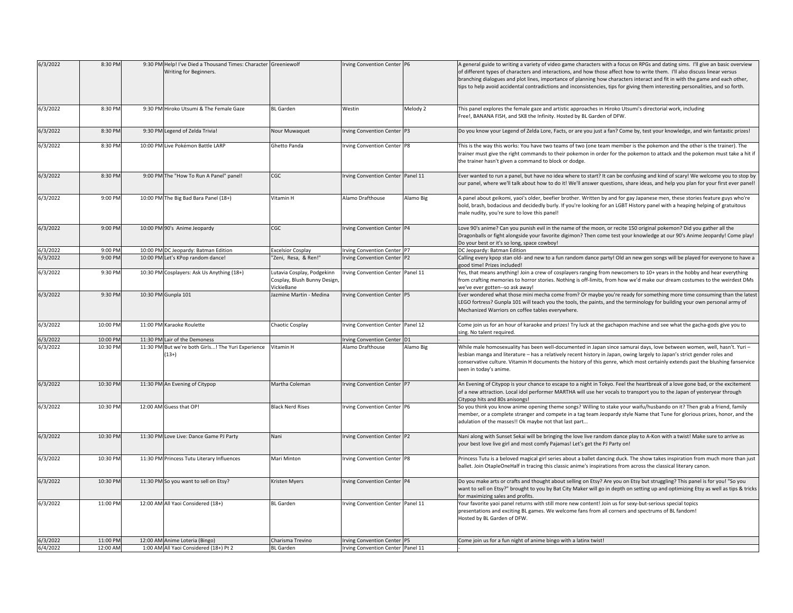| 6/3/2022 | 8:30 PM  | 9:30 PM Help! I've Died a Thousand Times: Character Greeniewolf<br>Writing for Beginners. |                                                                         | Irving Convention Center P6       |           | A general guide to writing a variety of video game characters with a focus on RPGs and dating sims. I'll give an basic overview<br>of different types of characters and interactions, and how those affect how to write them. I'll also discuss linear versus<br>branching dialogues and plot lines, importance of planning how characters interact and fit in with the game and each other,<br>tips to help avoid accidental contradictions and inconsistencies, tips for giving them interesting personalities, and so forth. |
|----------|----------|-------------------------------------------------------------------------------------------|-------------------------------------------------------------------------|-----------------------------------|-----------|---------------------------------------------------------------------------------------------------------------------------------------------------------------------------------------------------------------------------------------------------------------------------------------------------------------------------------------------------------------------------------------------------------------------------------------------------------------------------------------------------------------------------------|
| 6/3/2022 | 8:30 PM  | 9:30 PM Hiroko Utsumi & The Female Gaze                                                   | <b>BL</b> Garden                                                        | Westin                            | Melody 2  | This panel explores the female gaze and artistic approaches in Hiroko Utsumi's directorial work, including<br>Free!, BANANA FISH, and SK8 the Infinity. Hosted by BL Garden of DFW.                                                                                                                                                                                                                                                                                                                                             |
| 6/3/2022 | 8:30 PM  | 9:30 PM Legend of Zelda Trivia!                                                           | Nour Muwaquet                                                           | Irving Convention Center P3       |           | Do you know your Legend of Zelda Lore, Facts, or are you just a fan? Come by, test your knowledge, and win fantastic prizes!                                                                                                                                                                                                                                                                                                                                                                                                    |
| 6/3/2022 | 8:30 PM  | 10:00 PM Live Pokémon Battle LARP                                                         | Ghetto Panda                                                            | Irving Convention Center P8       |           | This is the way this works: You have two teams of two (one team member is the pokemon and the other is the trainer). The<br>trainer must give the right commands to their pokemon in order for the pokemon to attack and the pokemon must take a hit if<br>the trainer hasn't given a command to block or dodge.                                                                                                                                                                                                                |
| 6/3/2022 | 8:30 PM  | 9:00 PM The "How To Run A Panel" panel!                                                   | CGC                                                                     | Irving Convention Center Panel 11 |           | Ever wanted to run a panel, but have no idea where to start? It can be confusing and kind of scary! We welcome you to stop by<br>our panel, where we'll talk about how to do it! We'll answer questions, share ideas, and help you plan for your first ever panel                                                                                                                                                                                                                                                               |
| 6/3/2022 | 9:00 PM  | 10:00 PM The Big Bad Bara Panel (18+)                                                     | Vitamin H                                                               | Alamo Drafthouse                  | Alamo Big | A panel about geikomi, yaoi's older, beefier brother. Written by and for gay Japanese men, these stories feature guys who're<br>bold, brash, bodacious and decidedly burly. If you're looking for an LGBT History panel with a heaping helping of gratuitous<br>male nudity, you're sure to love this panel!                                                                                                                                                                                                                    |
| 6/3/2022 | 9:00 PM  | 10:00 PM 90's Anime Jeopardy                                                              | CGC                                                                     | Irving Convention Center P4       |           | Love 90's anime? Can you punish evil in the name of the moon, or recite 150 original pokemon? Did you gather all the<br>Dragonballs or fight alongside your favorite digimon? Then come test your knowledge at our 90's Anime Jeopardy! Come play!<br>Do your best or it's so long, space cowboy!                                                                                                                                                                                                                               |
| 6/3/2022 | 9:00 PM  | 10:00 PM DC Jeopardy: Batman Edition                                                      | <b>Excelsior Cosplay</b>                                                | Irving Convention Center P7       |           | DC Jeopardy: Batman Edition                                                                                                                                                                                                                                                                                                                                                                                                                                                                                                     |
| 6/3/2022 | 9:00 PM  | 10:00 PM Let's KPop random dance!                                                         | "Zeni, Resa, & Ren!"                                                    | Irving Convention Center P2       |           | Calling every kpop stan old- and new to a fun random dance party! Old an new gen songs will be played for everyone to have a<br>good time! Prizes included!                                                                                                                                                                                                                                                                                                                                                                     |
| 6/3/2022 | 9:30 PM  | 10:30 PM Cosplayers: Ask Us Anything (18+)                                                | Lutavia Cosplay, Podgekinn<br>Cosplay, Blush Bunny Design<br>VickieBane | Irving Convention Center Panel 11 |           | Yes, that means anything! Join a crew of cosplayers ranging from newcomers to 10+ years in the hobby and hear everything<br>from crafting memories to horror stories. Nothing is off-limits, from how we'd make our dream costumes to the weirdest DMs<br>we've ever gotten--so ask away!                                                                                                                                                                                                                                       |
| 6/3/2022 | 9:30 PM  | 10:30 PM Gunpla 101                                                                       | Jazmine Martin - Medina                                                 | Irving Convention Center P5       |           | Ever wondered what those mini mecha come from? Or maybe you're ready for something more time consuming than the latest<br>LEGO fortress? Gunpla 101 will teach you the tools, the paints, and the terminology for building your own personal army of<br>Mechanized Warriors on coffee tables everywhere.                                                                                                                                                                                                                        |
| 6/3/2022 | 10:00 PM | 11:00 PM Karaoke Roulette                                                                 | Chaotic Cosplay                                                         | Irving Convention Center Panel 12 |           | Come join us for an hour of karaoke and prizes! Try luck at the gachapon machine and see what the gacha-gods give you to<br>sing. No talent required.                                                                                                                                                                                                                                                                                                                                                                           |
| 6/3/2022 | 10:00 PM | 11:30 PM Lair of the Demoness                                                             |                                                                         | Irving Convention Center D1       |           |                                                                                                                                                                                                                                                                                                                                                                                                                                                                                                                                 |
| 6/3/2022 | 10:30 PM | 11:30 PM But we're both Girls! The Yuri Experience<br>$13+$                               | Vitamin H                                                               | Alamo Drafthouse                  | Alamo Big | While male homosexuality has been well-documented in Japan since samurai days, love between women, well, hasn't. Yuri -<br>lesbian manga and literature – has a relatively recent history in Japan, owing largely to Japan's strict gender roles and<br>conservative culture. Vitamin H documents the history of this genre, which most certainly extends past the blushing fanservice<br>seen in today's anime.                                                                                                                |
| 6/3/2022 | 10:30 PM | 11:30 PM An Evening of Citypop                                                            | Martha Coleman                                                          | Irving Convention Center P7       |           | An Evening of Citypop is your chance to escape to a night in Tokyo. Feel the heartbreak of a love gone bad, or the excitement<br>of a new attraction. Local idol performer MARTHA will use her vocals to transport you to the Japan of yesteryear through<br>Citypop hits and 80s anisongs!                                                                                                                                                                                                                                     |
| 6/3/2022 | 10:30 PM | 12:00 AM Guess that OP!                                                                   | <b>Black Nerd Rises</b>                                                 | Irving Convention Center P6       |           | So you think you know anime opening theme songs? Willing to stake your waifu/husbando on it? Then grab a friend, family<br>member, or a complete stranger and compete in a tag team Jeopardy style Name that Tune for glorious prizes, honor, and the<br>adulation of the masses!! Ok maybe not that last part                                                                                                                                                                                                                  |
| 6/3/2022 | 10:30 PM | 11:30 PM Love Live: Dance Game PJ Party                                                   | Nani                                                                    | Irving Convention Center P2       |           | Nani along with Sunset Sekai will be bringing the love live random dance play to A-Kon with a twist! Make sure to arrive as<br>your best love live girl and most comfy Pajamas! Let's get the PJ Party on!                                                                                                                                                                                                                                                                                                                      |
| 6/3/2022 | 10:30 PM | 11:30 PM Princess Tutu Literary Influences                                                | Mari Minton                                                             | Irving Convention Center P8       |           | Princess Tutu is a beloved magical girl series about a ballet dancing duck. The show takes inspiration from much more than just<br>ballet. Join OtapleOneHalf in tracing this classic anime's inspirations from across the classical literary canon.                                                                                                                                                                                                                                                                            |
| 6/3/2022 | 10:30 PM | 11:30 PM So you want to sell on Etsy?                                                     | <b>Kristen Myers</b>                                                    | Irving Convention Center P4       |           | Do you make arts or crafts and thought about selling on Etsy? Are you on Etsy but struggling? This panel is for you! "So you<br>want to sell on Etsy?" brought to you by Bat City Maker will go in depth on setting up and optimizing Etsy as well as tips & tricks<br>for maximizing sales and profits.                                                                                                                                                                                                                        |
| 6/3/2022 | 11:00 PM | 12:00 AM All Yaoi Considered (18+)                                                        | <b>BL</b> Garden                                                        | Irving Convention Center Panel 11 |           | Your favorite yaoi panel returns with still more new content! Join us for sexy-but-serious special topics<br>presentations and exciting BL games. We welcome fans from all corners and spectrums of BL fandom!<br>Hosted by BL Garden of DFW.                                                                                                                                                                                                                                                                                   |
| 6/3/2022 | 11:00 PM | 12:00 AM Anime Loteria (Bingo)                                                            | Charisma Trevino                                                        | Irving Convention Center P5       |           | Come join us for a fun night of anime bingo with a latinx twist!                                                                                                                                                                                                                                                                                                                                                                                                                                                                |
| 6/4/2022 | 12:00 AM | 1:00 AM All Yaoi Considered (18+) Pt 2                                                    | <b>BL</b> Garden                                                        | Irving Convention Center Panel 11 |           |                                                                                                                                                                                                                                                                                                                                                                                                                                                                                                                                 |
|          |          |                                                                                           |                                                                         |                                   |           |                                                                                                                                                                                                                                                                                                                                                                                                                                                                                                                                 |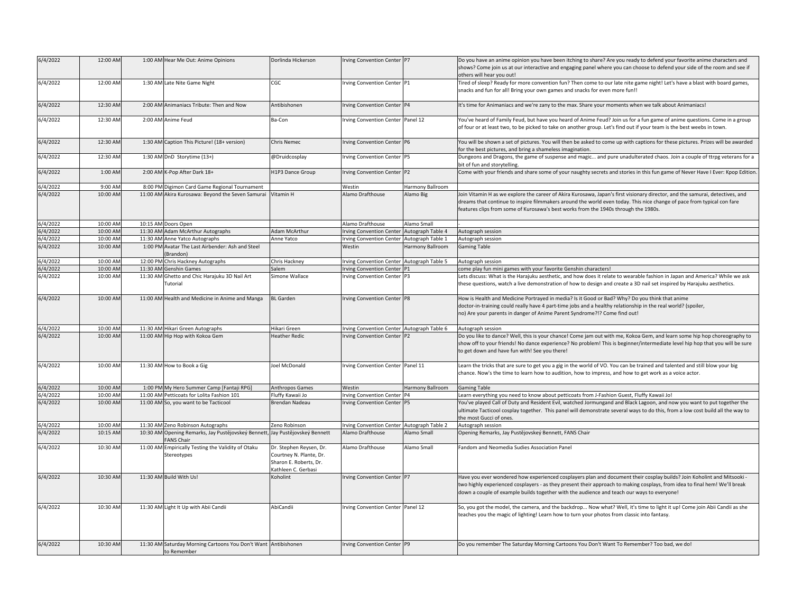| 6/4/2022 | 12:00 AM |          | 1:00 AM Hear Me Out: Anime Opinions                                           | Dorlinda Hickerson                                                                                  | Irving Convention Center P7                |                   | Do you have an anime opinion you have been itching to share? Are you ready to defend your favorite anime characters and<br>shows? Come join us at our interactive and engaging panel where you can choose to defend your side of the room and see if<br>others will hear you out!                                                                  |
|----------|----------|----------|-------------------------------------------------------------------------------|-----------------------------------------------------------------------------------------------------|--------------------------------------------|-------------------|----------------------------------------------------------------------------------------------------------------------------------------------------------------------------------------------------------------------------------------------------------------------------------------------------------------------------------------------------|
| 6/4/2022 | 12:00 AM |          | 1:30 AM Late Nite Game Night                                                  | CGC                                                                                                 | Irving Convention Center P1                |                   | Tired of sleep? Ready for more convention fun? Then come to our late nite game night! Let's have a blast with board games,<br>snacks and fun for all! Bring your own games and snacks for even more fun!!                                                                                                                                          |
| 6/4/2022 | 12:30 AM |          | 2:00 AM Animaniacs Tribute: Then and Now                                      | Antibishonen                                                                                        | rving Convention Center P4                 |                   | It's time for Animaniacs and we're zany to the max. Share your moments when we talk about Animaniacs!                                                                                                                                                                                                                                              |
| 6/4/2022 | 12:30 AM |          | 2:00 AM Anime Feud                                                            | Ba-Con                                                                                              | Irving Convention Center Panel 12          |                   | You've heard of Family Feud, but have you heard of Anime Feud? Join us for a fun game of anime questions. Come in a group<br>of four or at least two, to be picked to take on another group. Let's find out if your team is the best weebs in town.                                                                                                |
| 6/4/2022 | 12:30 AM |          | 1:30 AM Caption This Picture! (18+ version)                                   | <b>Chris Nemec</b>                                                                                  | Irving Convention Center P6                |                   | You will be shown a set of pictures. You will then be asked to come up with captions for these pictures. Prizes will be awarded<br>for the best pictures, and bring a shameless imagination.                                                                                                                                                       |
| 6/4/2022 | 12:30 AM |          | 1:30 AM DnD Storytime (13+)                                                   | @Druidcosplay                                                                                       | rving Convention Center P5                 |                   | Dungeons and Dragons, the game of suspense and magic and pure unadulterated chaos. Join a couple of ttrpg veterans for a<br>bit of fun and storytelling.                                                                                                                                                                                           |
| 6/4/2022 | 1:00 AM  |          | 2:00 AM K-Pop After Dark 18+                                                  | H1P3 Dance Group                                                                                    | Irving Convention Center P2                |                   | Come with your friends and share some of your naughty secrets and stories in this fun game of Never Have I Ever: Kpop Edition.                                                                                                                                                                                                                     |
| 6/4/2022 | 9:00 AM  |          | 8:00 PM Digimon Card Game Regional Tournament                                 |                                                                                                     | Westin                                     | Harmony Ballroom  |                                                                                                                                                                                                                                                                                                                                                    |
| 6/4/2022 | 10:00 AM |          | 11:00 AM Akira Kurosawa: Beyond the Seven Samurai Vitamin H                   |                                                                                                     | Alamo Drafthouse                           | Alamo Big         | Join Vitamin H as we explore the career of Akira Kurosawa, Japan's first visionary director, and the samurai, detectives, and<br>dreams that continue to inspire filmmakers around the world even today. This nice change of pace from typical con fare<br>features clips from some of Kurosawa's best works from the 1940s through the 1980s.     |
| 6/4/2022 | 10:00 AM |          | 10:15 AM Doors Open                                                           |                                                                                                     | Alamo Drafthouse                           | <b>Namo Small</b> |                                                                                                                                                                                                                                                                                                                                                    |
| 6/4/2022 | 10:00 AM |          | 11:30 AM Adam McArthur Autographs                                             | Adam McArthur                                                                                       | <b>Irving Convention Center</b>            | Autograph Table 4 | Autograph session                                                                                                                                                                                                                                                                                                                                  |
| 6/4/2022 | 10:00 AM |          | 11:30 AM Anne Yatco Autographs                                                | Anne Yatco                                                                                          | Irving Convention Center Autograph Table 1 |                   | Autograph session                                                                                                                                                                                                                                                                                                                                  |
| 6/4/2022 | 10:00 AM |          | 1:00 PM Avatar The Last Airbender: Ash and Steel<br>Brandon)                  |                                                                                                     | Westin                                     | Harmony Ballroom  | <b>Gaming Table</b>                                                                                                                                                                                                                                                                                                                                |
| 6/4/2022 | 10:00 AM |          | 12:00 PM Chris Hackney Autographs                                             | Chris Hackney                                                                                       | Irving Convention Center Autograph Table 5 |                   | Autograph session                                                                                                                                                                                                                                                                                                                                  |
| 6/4/2022 | 10:00 AM | 11:30 AM | <b>Genshin Games</b>                                                          | Salem                                                                                               | rving Convention Center                    |                   | come play fun mini games with your favorite Genshin characters!                                                                                                                                                                                                                                                                                    |
| 6/4/2022 | 10:00 AM |          | 11:30 AM Ghetto and Chic Harajuku 3D Nail Art<br>Tutorial                     | Simone Wallace                                                                                      | rving Convention Center P3                 |                   | Lets discuss: What is the Harajuku aesthetic, and how does it relate to wearable fashion in Japan and America? While we ask<br>these questions, watch a live demonstration of how to design and create a 3D nail set inspired by Harajuku aesthetics.                                                                                              |
| 6/4/2022 | 10:00 AM |          | 11:00 AM Health and Medicine in Anime and Manga                               | <b>BL</b> Garden                                                                                    | Irving Convention Center P8                |                   | How is Health and Medicine Portrayed in media? Is it Good or Bad? Why? Do you think that anime<br>doctor-in-training could really have 4 part-time jobs and a healthy relationship in the real world? (spoiler,<br>no) Are your parents in danger of Anime Parent Syndrome?!? Come find out!                                                       |
| 6/4/2022 | 10:00 AM |          | 11:30 AM Hikari Green Autographs                                              | Hikari Green                                                                                        | Irving Convention Center Autograph Table 6 |                   | Autograph session                                                                                                                                                                                                                                                                                                                                  |
| 6/4/2022 | 10:00 AM |          | 11:00 AM Hip Hop with Kokoa Gem                                               | <b>Heather Redic</b>                                                                                | Irving Convention Center P2                |                   | Do you like to dance? Well, this is your chance! Come jam out with me, Kokoa Gem, and learn some hip hop choreography to<br>show off to your friends! No dance experience? No problem! This is beginner/intermediate level hip hop that you will be sure<br>to get down and have fun with! See you there!                                          |
| 6/4/2022 | 10:00 AM |          | 11:30 AM How to Book a Gig                                                    | Joel McDonald                                                                                       | Irving Convention Center Panel 11          |                   | Learn the tricks that are sure to get you a gig in the world of VO. You can be trained and talented and still blow your big<br>chance. Now's the time to learn how to audition, how to impress, and how to get work as a voice actor.                                                                                                              |
| 6/4/2022 | 10:00 AM |          | 1:00 PM My Hero Summer Camp [Fantaji RPG]                                     | Anthropos Games                                                                                     | Westin                                     | Harmony Ballroom  | <b>Gaming Table</b>                                                                                                                                                                                                                                                                                                                                |
| 6/4/2022 | 10:00 AM |          | 11:00 AM Petticoats for Lolita Fashion 101                                    | Fluffy Kawaii Jo                                                                                    | ving Convention Center P4                  |                   | learn everything you need to know about petticoats from J-Fashion Guest, Fluffy Kawaii Jo!                                                                                                                                                                                                                                                         |
| 6/4/2022 | 10:00 AM |          | 11:00 AM So, you want to be Tacticool                                         | Brendan Nadeau                                                                                      | Irving Convention Center P5                |                   | You've played Call of Duty and Resident Evil, watched Jormungand and Black Lagoon, and now you want to put together the<br>ultimate Tacticool cosplay together. This panel will demonstrate several ways to do this, from a low cost build all the way to<br>the most Gucci of ones.                                                               |
| 6/4/2022 | 10:00 AM |          | 11:30 AM Zeno Robinson Autographs                                             | Zeno Robinson                                                                                       | Irving Convention Center Autograph Table 2 |                   | Autograph session                                                                                                                                                                                                                                                                                                                                  |
| 6/4/2022 | 10:15 AM |          | 10:30 AM Opening Remarks, Jay Pustějovskeý Bennett,<br><b>FANS Chair</b>      | Jay Pustějovskeý Bennett                                                                            | Alamo Drafthouse                           | Alamo Small       | Opening Remarks, Jay Pustějovskeý Bennett, FANS Chair                                                                                                                                                                                                                                                                                              |
| 6/4/2022 | 10:30 AM |          | 11:00 AM Empirically Testing the Validity of Otaku<br>Stereotypes             | Dr. Stephen Reysen, Dr.<br>Courtney N. Plante, Dr.<br>Sharon E. Roberts, Dr.<br>Kathleen C. Gerbasi | Alamo Drafthouse                           | Alamo Small       | Fandom and Neomedia Sudies Association Panel                                                                                                                                                                                                                                                                                                       |
| 6/4/2022 | 10:30 AM |          | 11:30 AM Build With Us!                                                       | Koholint                                                                                            | Irving Convention Center P7                |                   | Have you ever wondered how experienced cosplayers plan and document their cosplay builds? Join Koholint and Mitsooki -<br>two highly experienced cosplayers - as they present their approach to making cosplays, from idea to final hem! We'll break<br>down a couple of example builds together with the audience and teach our ways to everyone! |
| 6/4/2022 | 10:30 AM |          | 11:30 AM Light It Up with Abii Candii                                         | AbiCandii                                                                                           | Irving Convention Center Panel 12          |                   | So, you got the model, the camera, and the backdrop Now what? Well, it's time to light it up! Come join Abii Candii as she<br>teaches you the magic of lighting! Learn how to turn your photos from classic into fantasy.                                                                                                                          |
| 6/4/2022 | 10:30 AM |          | 11:30 AM Saturday Morning Cartoons You Don't Want Antibishonen<br>to Remember |                                                                                                     | Irving Convention Center P9                |                   | Do you remember The Saturday Morning Cartoons You Don't Want To Remember? Too bad, we do!                                                                                                                                                                                                                                                          |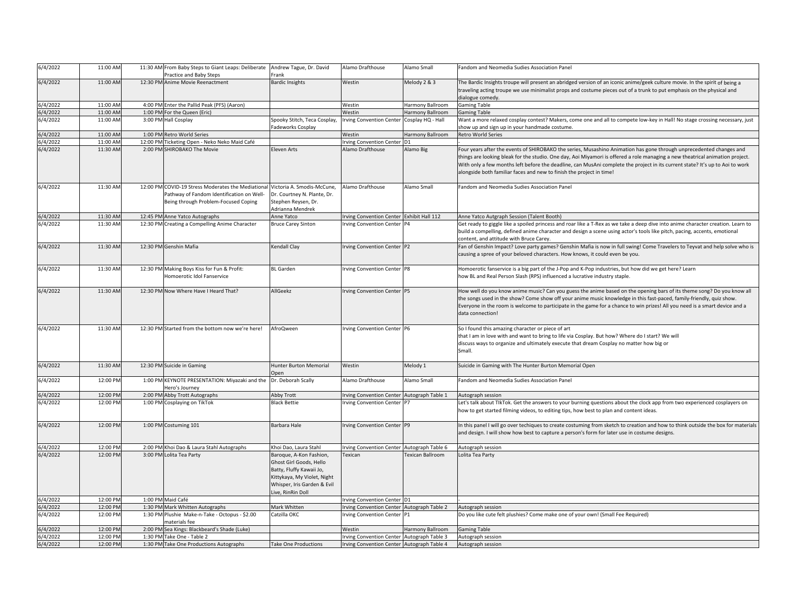| 6/4/2022 | 11:00 AM             | 11:30 AM From Baby Steps to Giant Leaps: Deliberate<br>Practice and Baby Steps | Andrew Tague, Dr. David<br>Frank | Alamo Drafthouse                           | Alamo Small       | Fandom and Neomedia Sudies Association Panel                                                                                                                                                                                                   |
|----------|----------------------|--------------------------------------------------------------------------------|----------------------------------|--------------------------------------------|-------------------|------------------------------------------------------------------------------------------------------------------------------------------------------------------------------------------------------------------------------------------------|
| 6/4/2022 | 11:00 AM             | 12:30 PM Anime Movie Reenactment                                               | <b>Bardic Insights</b>           | Westin                                     | Melody 2 & 3      | The Bardic Insights troupe will present an abridged version of an iconic anime/geek culture movie. In the spirit of being a                                                                                                                    |
|          |                      |                                                                                |                                  |                                            |                   | traveling acting troupe we use minimalist props and costume pieces out of a trunk to put emphasis on the physical and                                                                                                                          |
|          |                      |                                                                                |                                  |                                            |                   | dialogue comedy.                                                                                                                                                                                                                               |
| 6/4/2022 | 11:00 AM             | 4:00 PM Enter the Pallid Peak (PFS) (Aaron)                                    |                                  | Westin                                     | Harmony Ballroom  | <b>Gaming Table</b>                                                                                                                                                                                                                            |
| 6/4/2022 | 11:00 AM             | 1:00 PM For the Queen (Eric)                                                   |                                  | Westin                                     | Harmony Ballroom  | <b>Gaming Table</b>                                                                                                                                                                                                                            |
| 6/4/2022 | 11:00 AM             | 3:00 PM Hall Cosplay                                                           | Spooky Stitch, Teca Cosplay,     | <b>Irving Convention Center</b>            | Cosplay HQ - Hall | Want a more relaxed cosplay contest? Makers, come one and all to compete low-key in Hall! No stage crossing necessary, just                                                                                                                    |
|          |                      |                                                                                | Fadeworks Cosplay                |                                            |                   | show up and sign up in your handmade costume.                                                                                                                                                                                                  |
| 6/4/2022 | 11:00 AM             | 1:00 PM Retro World Series                                                     |                                  | Westin                                     | Harmony Ballroom  | <b>Retro World Series</b>                                                                                                                                                                                                                      |
| 6/4/2022 | 11:00 AM             | 12:00 PM Ticketing Open - Neko Neko Maid Café                                  |                                  | Irving Convention Center D1                |                   |                                                                                                                                                                                                                                                |
| 6/4/2022 | 11:30 AM             | 2:00 PM SHIROBAKO The Movie                                                    | Eleven Arts                      | Alamo Drafthouse                           | Alamo Big         | Four years after the events of SHIROBAKO the series, Musashino Animation has gone through unprecedented changes and                                                                                                                            |
|          |                      |                                                                                |                                  |                                            |                   | things are looking bleak for the studio. One day, Aoi Miyamori is offered a role managing a new theatrical animation project.                                                                                                                  |
|          |                      |                                                                                |                                  |                                            |                   | With only a few months left before the deadline, can MusAni complete the project in its current state? It's up to Aoi to work                                                                                                                  |
|          |                      |                                                                                |                                  |                                            |                   | alongside both familiar faces and new to finish the project in time!                                                                                                                                                                           |
|          |                      |                                                                                |                                  |                                            |                   |                                                                                                                                                                                                                                                |
| 6/4/2022 | 11:30 AM             | 12:00 PM COVID-19 Stress Moderates the Mediational                             | Victoria A. Smodis-McCune,       | Alamo Drafthouse                           | Alamo Small       | Fandom and Neomedia Sudies Association Panel                                                                                                                                                                                                   |
|          |                      | Pathway of Fandom Identification on Well-                                      | Dr. Courtney N. Plante, Dr.      |                                            |                   |                                                                                                                                                                                                                                                |
|          |                      | Being through Problem-Focused Coping                                           | Stephen Reysen, Dr.              |                                            |                   |                                                                                                                                                                                                                                                |
|          |                      |                                                                                | Adrianna Mendrek                 |                                            |                   |                                                                                                                                                                                                                                                |
| 6/4/2022 | 11:30 AM             | 12:45 PM Anne Yatco Autographs                                                 | Anne Yatco                       | Irving Convention Center Exhibit Hall 112  |                   | Anne Yatco Autgraph Session (Talent Booth)                                                                                                                                                                                                     |
| 6/4/2022 | 11:30 AM             | 12:30 PM Creating a Compelling Anime Character                                 | <b>Bruce Carey Sinton</b>        | rving Convention Center P4                 |                   | Get ready to giggle like a spoiled princess and roar like a T-Rex as we take a deep dive into anime character creation. Learn to                                                                                                               |
|          |                      |                                                                                |                                  |                                            |                   | build a compelling, defined anime character and design a scene using actor's tools like pitch, pacing, accents, emotional                                                                                                                      |
|          |                      |                                                                                |                                  |                                            |                   | content, and attitude with Bruce Carey.                                                                                                                                                                                                        |
| 6/4/2022 | 11:30 AM             | 12:30 PM Genshin Mafia                                                         | Kendall Clay                     | Irving Convention Center P2                |                   | Fan of Genshin Impact? Love party games? Genshin Mafia is now in full swing! Come Travelers to Teyvat and help solve who is                                                                                                                    |
|          |                      |                                                                                |                                  |                                            |                   | causing a spree of your beloved characters. How knows, it could even be you.                                                                                                                                                                   |
|          |                      |                                                                                |                                  |                                            |                   |                                                                                                                                                                                                                                                |
| 6/4/2022 | 11:30 AM             | 12:30 PM Making Boys Kiss for Fun & Profit:                                    | <b>BL</b> Garden                 | Irving Convention Center P8                |                   | Homoerotic fanservice is a big part of the J-Pop and K-Pop industries, but how did we get here? Learn                                                                                                                                          |
|          |                      | Homoerotic Idol Fanservice                                                     |                                  |                                            |                   | how BL and Real Person Slash (RPS) influenced a lucrative industry staple.                                                                                                                                                                     |
|          |                      |                                                                                |                                  |                                            |                   |                                                                                                                                                                                                                                                |
| 6/4/2022 | 11:30 AM             | 12:30 PM Now Where Have I Heard That?                                          | AllGeekz                         | Irving Convention Center P5                |                   | How well do you know anime music? Can you guess the anime based on the opening bars of its theme song? Do you know all<br>the songs used in the show? Come show off your anime music knowledge in this fast-paced, family-friendly, quiz show. |
|          |                      |                                                                                |                                  |                                            |                   |                                                                                                                                                                                                                                                |
|          |                      |                                                                                |                                  |                                            |                   | Everyone in the room is welcome to participate in the game for a chance to win prizes! All you need is a smart device and a<br>data connection!                                                                                                |
|          |                      |                                                                                |                                  |                                            |                   |                                                                                                                                                                                                                                                |
| 6/4/2022 | 11:30 AM             | 12:30 PM Started from the bottom now we're here!                               | AfroQween                        | Irving Convention Center P6                |                   | So I found this amazing character or piece of art                                                                                                                                                                                              |
|          |                      |                                                                                |                                  |                                            |                   | that I am in love with and want to bring to life via Cosplay. But how? Where do I start? We will                                                                                                                                               |
|          |                      |                                                                                |                                  |                                            |                   | discuss ways to organize and ultimately execute that dream Cosplay no matter how big or                                                                                                                                                        |
|          |                      |                                                                                |                                  |                                            |                   | Small.                                                                                                                                                                                                                                         |
|          |                      |                                                                                |                                  |                                            |                   |                                                                                                                                                                                                                                                |
| 6/4/2022 | 11:30 AM             | 12:30 PM Suicide in Gaming                                                     | Hunter Burton Memorial           | Westin                                     | Melody 1          | Suicide in Gaming with The Hunter Burton Memorial Open                                                                                                                                                                                         |
|          |                      |                                                                                | Open                             |                                            |                   |                                                                                                                                                                                                                                                |
| 6/4/2022 | 12:00 PM             | 1:00 PM KEYNOTE PRESENTATION: Miyazaki and the                                 | Dr. Deborah Scally               | Alamo Drafthouse                           | Alamo Small       | Fandom and Neomedia Sudies Association Panel                                                                                                                                                                                                   |
|          |                      | Hero's Journey                                                                 |                                  |                                            |                   |                                                                                                                                                                                                                                                |
| 6/4/2022 | 12:00 PM             | 2:00 PM Abby Trott Autographs                                                  | Abby Trott                       | Irving Convention Center Autograph Table 1 |                   | Autograph session                                                                                                                                                                                                                              |
| 6/4/2022 | 12:00 PM             | 1:00 PM Cosplaying on TikTok                                                   | <b>Black Bettie</b>              | Irving Convention Center P7                |                   | Let's talk about TlkTok. Get the answers to your burning questions about the clock app from two experienced cosplayers on                                                                                                                      |
|          |                      |                                                                                |                                  |                                            |                   | now to get started filming videos, to editing tips, how best to plan and content ideas.                                                                                                                                                        |
|          |                      |                                                                                |                                  |                                            |                   |                                                                                                                                                                                                                                                |
| 6/4/2022 | 12:00 PM             | 1:00 PM Costuming 101                                                          | <b>Barbara Hale</b>              | rving Convention Center P9                 |                   | In this panel I will go over techiques to create costuming from sketch to creation and how to think outside the box for materials                                                                                                              |
|          |                      |                                                                                |                                  |                                            |                   | and design. I will show how best to capture a person's form for later use in costume designs.                                                                                                                                                  |
|          |                      |                                                                                |                                  |                                            |                   |                                                                                                                                                                                                                                                |
| 6/4/2022 | 12:00 PM             | 2:00 PM Khoi Dao & Laura Stahl Autographs                                      | Khoi Dao, Laura Stahl            | rving Convention Center Autograph Table 6  |                   | Autograph session                                                                                                                                                                                                                              |
| 6/4/2022 | 12:00 PM             | 3:00 PM Lolita Tea Party                                                       | Baroque, A-Kon Fashion,          | Texican                                    | Fexican Ballroom  | Lolita Tea Party                                                                                                                                                                                                                               |
|          |                      |                                                                                | Ghost Girl Goods, Hello          |                                            |                   |                                                                                                                                                                                                                                                |
|          |                      |                                                                                | Batty, Fluffy Kawaii Jo,         |                                            |                   |                                                                                                                                                                                                                                                |
|          |                      |                                                                                | Kittykaya, My Violet, Night      |                                            |                   |                                                                                                                                                                                                                                                |
|          |                      |                                                                                | Whisper, Iris Garden & Evil      |                                            |                   |                                                                                                                                                                                                                                                |
|          |                      |                                                                                | Live, RinRin Doll                |                                            |                   |                                                                                                                                                                                                                                                |
| 6/4/2022 | 12:00 PM             | 1:00 PM Maid Café                                                              |                                  | Irving Convention Center D1                |                   |                                                                                                                                                                                                                                                |
| 6/4/2022 | 12:00 PM             | 1:30 PM Mark Whitten Autographs                                                | Mark Whitten                     | rving Convention Center Autograph Table 2  |                   | Autograph session                                                                                                                                                                                                                              |
| 6/4/2022 | 12:00 PM             | 1:30 PM Plushie Make-n-Take - Octopus - \$2.00                                 | Catzilla OKC                     | rving Convention Center P1                 |                   | Do you like cute felt plushies? Come make one of your own! (Small Fee Required)                                                                                                                                                                |
|          |                      | naterials fee                                                                  |                                  |                                            |                   |                                                                                                                                                                                                                                                |
| 6/4/2022 | 12:00 PM<br>12:00 PM | 2:00 PM Sea Kings: Blackbeard's Shade (Luke)<br>1:30 PM Take One - Table 2     |                                  | Westin                                     | Harmony Ballroom  | <b>Gaming Table</b>                                                                                                                                                                                                                            |
| 6/4/2022 | 12:00 PM             |                                                                                |                                  | Irving Convention Center Autograph Table 3 |                   | Autograph session                                                                                                                                                                                                                              |
| 6/4/2022 |                      | 1:30 PM Take One Productions Autographs                                        | <b>Take One Productions</b>      | Irving Convention Center Autograph Table 4 |                   | Autograph session                                                                                                                                                                                                                              |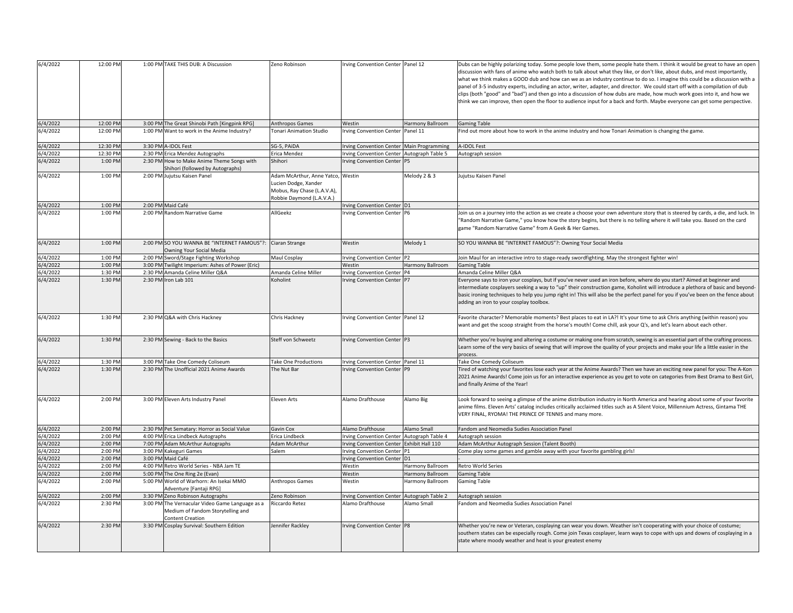| 6/4/2022 | 12:00 PM |         | 1:00 PM TAKE THIS DUB: A Discussion                                                                             | Zeno Robinson                                                                                                         | Irving Convention Center Panel 12          |                   | Dubs can be highly polarizing today. Some people love them, some people hate them. I think it would be great to have an open<br>discussion with fans of anime who watch both to talk about what they like, or don't like, about dubs, and most importantly,<br>what we think makes a GOOD dub and how can we as an industry continue to do so. I imagine this could be a discussion with a<br>panel of 3-5 industry experts, including an actor, writer, adapter, and director. We could start off with a compilation of dub<br>clips (both "good" and "bad") and then go into a discussion of how dubs are made, how much work goes into it, and how we<br>think we can improve, then open the floor to audience input for a back and forth. Maybe everyone can get some perspective. |
|----------|----------|---------|-----------------------------------------------------------------------------------------------------------------|-----------------------------------------------------------------------------------------------------------------------|--------------------------------------------|-------------------|----------------------------------------------------------------------------------------------------------------------------------------------------------------------------------------------------------------------------------------------------------------------------------------------------------------------------------------------------------------------------------------------------------------------------------------------------------------------------------------------------------------------------------------------------------------------------------------------------------------------------------------------------------------------------------------------------------------------------------------------------------------------------------------|
| 6/4/2022 | 12:00 PM |         | 3:00 PM The Great Shinobi Path [Kingpink RPG]                                                                   | Anthropos Games                                                                                                       | Westin                                     | Harmony Ballroom  | <b>Gaming Table</b>                                                                                                                                                                                                                                                                                                                                                                                                                                                                                                                                                                                                                                                                                                                                                                    |
| 6/4/2022 | 12:00 PM |         | 1:00 PM Want to work in the Anime Industry?                                                                     | Tonari Animation Studio                                                                                               | Irving Convention Center Panel 11          |                   | Find out more about how to work in the anime industry and how Tonari Animation is changing the game.                                                                                                                                                                                                                                                                                                                                                                                                                                                                                                                                                                                                                                                                                   |
| 5/4/2022 | 12:30 PM |         | 3:30 PM A-IDOL Fest                                                                                             | SG-5, PAIDA                                                                                                           | Irving Convention Center Main Programming  |                   | <b>A-IDOL Fest</b>                                                                                                                                                                                                                                                                                                                                                                                                                                                                                                                                                                                                                                                                                                                                                                     |
| 5/4/2022 | 12:30 PM |         | 2:30 PM Erica Mendez Autographs                                                                                 | Erica Mendez                                                                                                          | Irving Convention Center Autograph Table 5 |                   | Autograph session                                                                                                                                                                                                                                                                                                                                                                                                                                                                                                                                                                                                                                                                                                                                                                      |
| 6/4/2022 | 1:00 PM  |         | 2:30 PM How to Make Anime Theme Songs with<br>Shihori (followed by Autographs)                                  | Shihori                                                                                                               | Irving Convention Center P5                |                   |                                                                                                                                                                                                                                                                                                                                                                                                                                                                                                                                                                                                                                                                                                                                                                                        |
| 6/4/2022 | 1:00 PM  | 2:00 PM | Jujutsu Kaisen Panel                                                                                            | Adam McArthur, Anne Yatco, Westin<br>Lucien Dodge, Xander<br>Mobus, Ray Chase (L.A.V.A),<br>Robbie Daymond (L.A.V.A.) |                                            | Melody 2 & 3      | Jujutsu Kaisen Panel                                                                                                                                                                                                                                                                                                                                                                                                                                                                                                                                                                                                                                                                                                                                                                   |
| 6/4/2022 | 1:00 PM  |         | 2:00 PM Maid Café                                                                                               |                                                                                                                       | Irving Convention Center D1                |                   |                                                                                                                                                                                                                                                                                                                                                                                                                                                                                                                                                                                                                                                                                                                                                                                        |
| 6/4/2022 | 1:00 PM  |         | 2:00 PM Random Narrative Game                                                                                   | AllGeekz                                                                                                              | Irving Convention Center P6                |                   | loin us on a journey into the action as we create a choose your own adventure story that is steered by cards, a die, and luck. In<br>'Random Narrative Game," you know how the story begins, but there is no telling where it will take you. Based on the card<br>game "Random Narrative Game" from A Geek & Her Games.                                                                                                                                                                                                                                                                                                                                                                                                                                                                |
| 6/4/2022 | 1:00 PM  |         | 2:00 PM SO YOU WANNA BE "INTERNET FAMOUS"?: Ciaran Strange<br>Owning Your Social Media                          |                                                                                                                       | Westin                                     | Melody 1          | SO YOU WANNA BE "INTERNET FAMOUS"?: Owning Your Social Media                                                                                                                                                                                                                                                                                                                                                                                                                                                                                                                                                                                                                                                                                                                           |
| 5/4/2022 | 1:00 PM  |         | 2:00 PM Sword/Stage Fighting Workshop                                                                           | Maul Cosplay                                                                                                          | Irving Convention Center P2                |                   | loin Maul for an interactive intro to stage-ready swordfighting. May the strongest fighter win!                                                                                                                                                                                                                                                                                                                                                                                                                                                                                                                                                                                                                                                                                        |
| 5/4/2022 | 1:00 PM  |         | 3:00 PM Twilight Imperium: Ashes of Power (Eric)                                                                |                                                                                                                       | Westin                                     | Harmony Ballroom  | <b>Gaming Table</b>                                                                                                                                                                                                                                                                                                                                                                                                                                                                                                                                                                                                                                                                                                                                                                    |
| 5/4/2022 | 1:30 PM  |         | 2:30 PM Amanda Celine Miller Q&A                                                                                | Amanda Celine Miller                                                                                                  | Irving Convention Center P4                |                   | Amanda Celine Miller Q&A                                                                                                                                                                                                                                                                                                                                                                                                                                                                                                                                                                                                                                                                                                                                                               |
| 6/4/2022 | 1:30 PM  |         | 2:30 PM Iron Lab 101                                                                                            | Koholint                                                                                                              | Irving Convention Center P7                |                   | Everyone says to iron your cosplays, but if you've never used an iron before, where do you start? Aimed at beginner and<br>intermediate cosplayers seeking a way to "up" their construction game, Koholint will introduce a plethora of basic and beyond-<br>basic ironing techniques to help you jump right in! This will also be the perfect panel for you if you've been on the fence about<br>adding an iron to your cosplay toolbox.                                                                                                                                                                                                                                                                                                                                              |
| 6/4/2022 | 1:30 PM  |         | 2:30 PM Q&A with Chris Hackney                                                                                  | Chris Hackney                                                                                                         | Irving Convention Center Panel 12          |                   | Favorite character? Memorable moments? Best places to eat in LA?! It's your time to ask Chris anything (within reason) you<br>want and get the scoop straight from the horse's mouth! Come chill, ask your Q's, and let's learn about each other.                                                                                                                                                                                                                                                                                                                                                                                                                                                                                                                                      |
| 6/4/2022 | 1:30 PM  |         | 2:30 PM Sewing - Back to the Basics                                                                             | Steff von Schweetz                                                                                                    | Irving Convention Center P3                |                   | Whether you're buying and altering a costume or making one from scratch, sewing is an essential part of the crafting process.<br>Learn some of the very basics of sewing that will improve the quality of your projects and make your life a little easier in the<br>process.                                                                                                                                                                                                                                                                                                                                                                                                                                                                                                          |
| 5/4/2022 | 1:30 PM  |         | 3:00 PM Take One Comedy Coliseum                                                                                | Take One Productions                                                                                                  | Irving Convention Center Panel 11          |                   | <b>Take One Comedy Coliseum</b>                                                                                                                                                                                                                                                                                                                                                                                                                                                                                                                                                                                                                                                                                                                                                        |
| 6/4/2022 | 1:30 PM  |         | 2:30 PM The Unofficial 2021 Anime Awards                                                                        | The Nut Bar                                                                                                           | Irving Convention Center P9                |                   | Tired of watching your favorites lose each year at the Anime Awards? Then we have an exciting new panel for you: The A-Kon<br>2021 Anime Awards! Come join us for an interactive experience as you get to vote on categories from Best Drama to Best Girl,<br>and finally Anime of the Year!                                                                                                                                                                                                                                                                                                                                                                                                                                                                                           |
| 6/4/2022 | 2:00 PM  |         | 3:00 PM Eleven Arts Industry Panel                                                                              | Eleven Arts                                                                                                           | Alamo Drafthouse                           | Alamo Big         | Look forward to seeing a glimpse of the anime distribution industry in North America and hearing about some of your favorite<br>anime films. Eleven Arts' catalog includes critically acclaimed titles such as A Silent Voice, Millennium Actress, Gintama THE<br>VERY FINAL, RYOMA! THE PRINCE OF TENNIS and many more.                                                                                                                                                                                                                                                                                                                                                                                                                                                               |
| 6/4/2022 | 2:00 PM  |         | 2:30 PM Pet Sematary: Horror as Social Value                                                                    | Gavin Cox                                                                                                             | Alamo Drafthouse                           | Alamo Small       | Fandom and Neomedia Sudies Association Panel                                                                                                                                                                                                                                                                                                                                                                                                                                                                                                                                                                                                                                                                                                                                           |
| 5/4/2022 | 2:00 PM  |         | 4:00 PM Erica Lindbeck Autographs                                                                               | Erica Lindbeck                                                                                                        | rving Convention Center Autograph Table 4  |                   | Autograph session                                                                                                                                                                                                                                                                                                                                                                                                                                                                                                                                                                                                                                                                                                                                                                      |
| 5/4/2022 | 2:00 PM  |         | 7:00 PM Adam McArthur Autographs                                                                                | Adam McArthur                                                                                                         | Irving Convention Center Exhibit Hall 110  |                   | Adam McArthur Autograph Session (Talent Booth)                                                                                                                                                                                                                                                                                                                                                                                                                                                                                                                                                                                                                                                                                                                                         |
| 5/4/2022 | 2:00 PM  |         | 3:00 PM Kakeguri Games                                                                                          | Salem                                                                                                                 | Irving Convention Center P1                |                   | Come play some games and gamble away with your favorite gambling girls!                                                                                                                                                                                                                                                                                                                                                                                                                                                                                                                                                                                                                                                                                                                |
| 5/4/2022 | 2:00 PM  |         | 3:00 PM Maid Café                                                                                               |                                                                                                                       | Irving Convention Center D1                |                   |                                                                                                                                                                                                                                                                                                                                                                                                                                                                                                                                                                                                                                                                                                                                                                                        |
| 5/4/2022 | 2:00 PM  |         | 4:00 PM Retro World Series - NBA Jam TE                                                                         |                                                                                                                       | Westin                                     | Harmony Ballroom  | Retro World Series                                                                                                                                                                                                                                                                                                                                                                                                                                                                                                                                                                                                                                                                                                                                                                     |
| 5/4/2022 | 2:00 PM  |         | 5:00 PM The One Ring 2e (Evan)                                                                                  |                                                                                                                       | Westin                                     | Harmony Ballroom  | <b>Gaming Table</b>                                                                                                                                                                                                                                                                                                                                                                                                                                                                                                                                                                                                                                                                                                                                                                    |
| 6/4/2022 | 2:00 PM  |         | 5:00 PM World of Warhorn: An Isekai MMO<br>Adventure [Fantaji RPG]                                              | Anthropos Games                                                                                                       | Westin                                     | Harmony Ballroom  | Gaming Table                                                                                                                                                                                                                                                                                                                                                                                                                                                                                                                                                                                                                                                                                                                                                                           |
| 5/4/2022 | 2:00 PM  |         | 3:30 PM Zeno Robinson Autographs                                                                                | Zeno Robinson                                                                                                         | Irving Convention Center                   | Autograph Table 2 | Autograph session                                                                                                                                                                                                                                                                                                                                                                                                                                                                                                                                                                                                                                                                                                                                                                      |
| 5/4/2022 | 2:30 PM  |         | 3:00 PM The Vernacular Video Game Language as a<br>Medium of Fandom Storytelling and<br><b>Content Creation</b> | Riccardo Retez                                                                                                        | Alamo Drafthouse                           | Alamo Small       | Fandom and Neomedia Sudies Association Panel                                                                                                                                                                                                                                                                                                                                                                                                                                                                                                                                                                                                                                                                                                                                           |
| 6/4/2022 | 2:30 PM  |         | 3:30 PM Cosplay Survival: Southern Edition                                                                      | Jennifer Rackley                                                                                                      | Irving Convention Center P8                |                   | Whether you're new or Veteran, cosplaying can wear you down. Weather isn't cooperating with your choice of costume;<br>southern states can be especially rough. Come join Texas cosplayer, learn ways to cope with ups and downs of cosplaying in a<br>state where moody weather and heat is your greatest enemy                                                                                                                                                                                                                                                                                                                                                                                                                                                                       |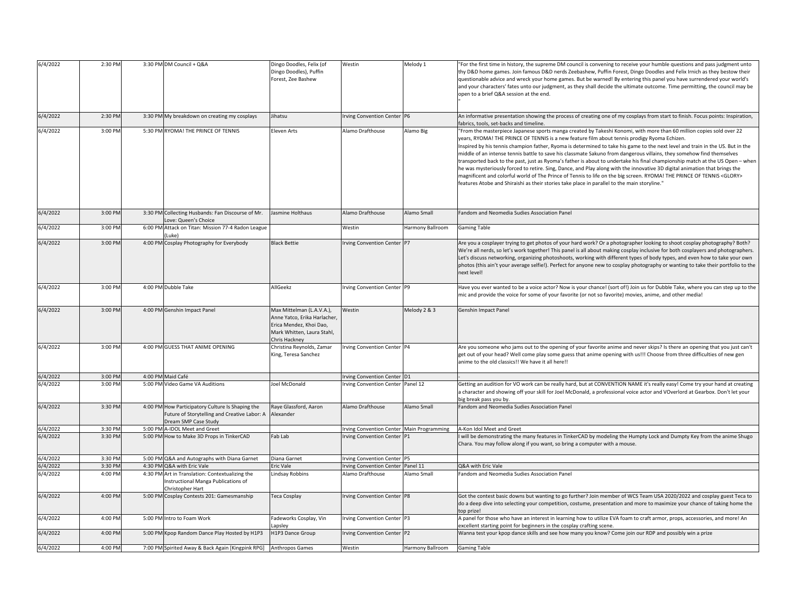| 6/4/2022             | 2:30 PM            | 3:30 PM DM Council + Q&A                                                   | Dingo Doodles, Felix (of     | Westin                                                               | Melody 1         | For the first time in history, the supreme DM council is convening to receive your humble questions and pass judgment unto        |
|----------------------|--------------------|----------------------------------------------------------------------------|------------------------------|----------------------------------------------------------------------|------------------|-----------------------------------------------------------------------------------------------------------------------------------|
|                      |                    |                                                                            | Dingo Doodles), Puffin       |                                                                      |                  | thy D&D home games. Join famous D&D nerds Zeebashew, Puffin Forest, Dingo Doodles and Felix Irnich as they bestow their           |
|                      |                    |                                                                            | Forest, Zee Bashew           |                                                                      |                  | questionable advice and wreck your home games. But be warned! By entering this panel you have surrendered your world's            |
|                      |                    |                                                                            |                              |                                                                      |                  |                                                                                                                                   |
|                      |                    |                                                                            |                              |                                                                      |                  | and your characters' fates unto our judgment, as they shall decide the ultimate outcome. Time permitting, the council may be      |
|                      |                    |                                                                            |                              |                                                                      |                  | open to a brief Q&A session at the end.                                                                                           |
|                      |                    |                                                                            |                              |                                                                      |                  |                                                                                                                                   |
| 6/4/2022             | 2:30 PM            | 3:30 PM My breakdown on creating my cosplays                               | Jihatsu                      | rving Convention Center P6                                           |                  | An informative presentation showing the process of creating one of my cosplays from start to finish. Focus points: Inspiration,   |
|                      |                    |                                                                            |                              |                                                                      |                  | abrics, tools, set-backs and timeline.                                                                                            |
| 6/4/2022             | 3:00 PM            | 5:30 PM RYOMA! THE PRINCE OF TENNIS                                        | Eleven Arts                  | Alamo Drafthouse                                                     | Alamo Big        | "From the masterpiece Japanese sports manga created by Takeshi Konomi, with more than 60 million copies sold over 22              |
|                      |                    |                                                                            |                              |                                                                      |                  | years, RYOMA! THE PRINCE OF TENNIS is a new feature film about tennis prodigy Ryoma Echizen.                                      |
|                      |                    |                                                                            |                              |                                                                      |                  | Inspired by his tennis champion father, Ryoma is determined to take his game to the next level and train in the US. But in the    |
|                      |                    |                                                                            |                              |                                                                      |                  | middle of an intense tennis battle to save his classmate Sakuno from dangerous villains, they somehow find themselves             |
|                      |                    |                                                                            |                              |                                                                      |                  | transported back to the past, just as Ryoma's father is about to undertake his final championship match at the US Open - when     |
|                      |                    |                                                                            |                              |                                                                      |                  | he was mysteriously forced to retire. Sing, Dance, and Play along with the innovative 3D digital animation that brings the        |
|                      |                    |                                                                            |                              |                                                                      |                  | magnificent and colorful world of The Prince of Tennis to life on the big screen. RYOMA! THE PRINCE OF TENNIS <glory></glory>     |
|                      |                    |                                                                            |                              |                                                                      |                  | features Atobe and Shiraishi as their stories take place in parallel to the main storyline."                                      |
|                      |                    |                                                                            |                              |                                                                      |                  |                                                                                                                                   |
|                      |                    |                                                                            |                              |                                                                      |                  |                                                                                                                                   |
| 6/4/2022             | 3:00 PM            | 3:30 PM Collecting Husbands: Fan Discourse of Mr.                          | Jasmine Holthaus             | Alamo Drafthouse                                                     | Alamo Small      | Fandom and Neomedia Sudies Association Panel                                                                                      |
|                      |                    | ove: Queen's Choice                                                        |                              |                                                                      |                  |                                                                                                                                   |
| 6/4/2022             | 3:00 PM            | 6:00 PM Attack on Titan: Mission 77-4 Radon League                         |                              | Westin                                                               | Harmony Ballroom | <b>Gaming Table</b>                                                                                                               |
|                      |                    | Luke)                                                                      |                              |                                                                      |                  |                                                                                                                                   |
| 6/4/2022             | 3:00 PM            | 4:00 PM Cosplay Photography for Everybody                                  | <b>Black Bettie</b>          | Irving Convention Center P7                                          |                  | Are you a cosplayer trying to get photos of your hard work? Or a photographer looking to shoot cosplay photography? Both?         |
|                      |                    |                                                                            |                              |                                                                      |                  | We're all nerds, so let's work together! This panel is all about making cosplay inclusive for both cosplayers and photographers.  |
|                      |                    |                                                                            |                              |                                                                      |                  | Let's discuss networking, organizing photoshoots, working with different types of body types, and even how to take your own       |
|                      |                    |                                                                            |                              |                                                                      |                  | photos (this ain't your average selfie!). Perfect for anyone new to cosplay photography or wanting to take their portfolio to the |
|                      |                    |                                                                            |                              |                                                                      |                  | next level!                                                                                                                       |
| 6/4/2022             | 3:00 PM            | 4:00 PM Dubble Take                                                        | AllGeekz                     | rving Convention Center P9                                           |                  | Have you ever wanted to be a voice actor? Now is your chance! (sort of!) Join us for Dubble Take, where you can step up to the    |
|                      |                    |                                                                            |                              |                                                                      |                  | mic and provide the voice for some of your favorite (or not so favorite) movies, anime, and other media!                          |
|                      |                    |                                                                            |                              |                                                                      |                  |                                                                                                                                   |
| 6/4/2022             | 3:00 PM            | 4:00 PM Genshin Impact Panel                                               | Max Mittelman (L.A.V.A.),    | Westin                                                               | Melody 2 & 3     | Genshin Impact Panel                                                                                                              |
|                      |                    |                                                                            | Anne Yatco, Erika Harlacher, |                                                                      |                  |                                                                                                                                   |
|                      |                    |                                                                            | Erica Mendez, Khoi Dao,      |                                                                      |                  |                                                                                                                                   |
|                      |                    |                                                                            | Mark Whitten, Laura Stahl,   |                                                                      |                  |                                                                                                                                   |
|                      |                    |                                                                            |                              |                                                                      |                  |                                                                                                                                   |
|                      |                    |                                                                            | Chris Hackney                |                                                                      |                  |                                                                                                                                   |
| 6/4/2022             | 3:00 PM            | 4:00 PM GUESS THAT ANIME OPENING                                           | Christina Reynolds, Zamar    | Irving Convention Center P4                                          |                  | Are you someone who jams out to the opening of your favorite anime and never skips? Is there an opening that you just can't       |
|                      |                    |                                                                            | King, Teresa Sanchez         |                                                                      |                  | get out of your head? Well come play some guess that anime opening with us!!! Choose from three difficulties of new gen           |
|                      |                    |                                                                            |                              |                                                                      |                  | anime to the old classics!! We have it all here!!                                                                                 |
|                      |                    |                                                                            |                              |                                                                      |                  |                                                                                                                                   |
| 6/4/2022             | 3:00 PM            | 4:00 PM Maid Café                                                          |                              | <b>Irving Convention Center</b>                                      |                  |                                                                                                                                   |
| 6/4/2022             | 3:00 PM            | 5:00 PM Video Game VA Auditions                                            | Joel McDonald                | rving Convention Center Panel 12                                     |                  | Getting an audition for VO work can be really hard, but at CONVENTION NAME it's really easy! Come try your hand at creating       |
|                      |                    |                                                                            |                              |                                                                      |                  | a character and showing off your skill for Joel McDonald, a professional voice actor and VOverlord at Gearbox. Don't let your     |
|                      |                    |                                                                            |                              |                                                                      |                  | big break pass you by.                                                                                                            |
| 6/4/2022             | 3:30 PM            | 4:00 PM How Participatory Culture Is Shaping the                           | Raye Glassford, Aaron        | Alamo Drafthouse                                                     | Alamo Small      | Fandom and Neomedia Sudies Association Panel                                                                                      |
|                      |                    | Future of Storytelling and Creative Labor: A                               | Alexander                    |                                                                      |                  |                                                                                                                                   |
|                      |                    | Oream SMP Case Study                                                       |                              |                                                                      |                  |                                                                                                                                   |
| 6/4/2022<br>6/4/2022 | 3:30 PM<br>3:30 PM | 5:00 PM A-IDOL Meet and Greet<br>5:00 PM How to Make 3D Props in TinkerCAD | Fab Lab                      | Irving Convention Center Main Programming<br>rving Convention Center | P <sub>1</sub>   | A-Kon Idol Meet and Greet                                                                                                         |
|                      |                    |                                                                            |                              |                                                                      |                  | will be demonstrating the many features in TinkerCAD by modeling the Humpty Lock and Dumpty Key from the anime Shugo              |
|                      |                    |                                                                            |                              |                                                                      |                  | Chara. You may follow along if you want, so bring a computer with a mouse.                                                        |
| 5/4/2022             | 3:30 PM            | 5:00 PM Q&A and Autographs with Diana Garnet                               | Diana Garnet                 | rving Convention Center P5                                           |                  |                                                                                                                                   |
| 6/4/2022             | 3:30 PM            | 4:30 PM Q&A with Eric Vale                                                 | Eric Vale                    | Irving Convention Center Panel 11                                    |                  | Q&A with Eric Vale                                                                                                                |
| 6/4/2022             | 4:00 PM            | 4:30 PM Art in Translation: Contextualizing the                            | Lindsay Robbins              | Alamo Drafthouse                                                     | Alamo Small      | Fandom and Neomedia Sudies Association Panel                                                                                      |
|                      |                    | Instructional Manga Publications of                                        |                              |                                                                      |                  |                                                                                                                                   |
|                      |                    | hristopher Hart                                                            |                              |                                                                      |                  |                                                                                                                                   |
| 6/4/2022             | 4:00 PM            | 5:00 PM Cosplay Contests 201: Gamesmanship                                 | Teca Cosplay                 | rving Convention Center P8                                           |                  | Got the contest basic downs but wanting to go further? Join member of WCS Team USA 2020/2022 and cosplay guest Teca to            |
|                      |                    |                                                                            |                              |                                                                      |                  | do a deep dive into selecting your competition, costume, presentation and more to maximize your chance of taking home the         |
|                      |                    |                                                                            |                              |                                                                      |                  | top prize!                                                                                                                        |
| 6/4/2022             | 4:00 PM            | 5:00 PM Intro to Foam Work                                                 | Fadeworks Cosplay, Vin       | Irving Convention Center P3                                          |                  | A panel for those who have an interest in learning how to utilize EVA foam to craft armor, props, accessories, and more! An       |
| 6/4/2022             | 4:00 PM            | 5:00 PM Kpop Random Dance Play Hosted by H1P3                              | apsley<br>H1P3 Dance Group   |                                                                      |                  | excellent starting point for beginners in the cosplay crafting scene.                                                             |
| 6/4/2022             | 4:00 PM            | 7:00 PM Spirited Away & Back Again [Kingpink RPG] Anthropos Games          |                              | rving Convention Center P2                                           | Harmony Ballroom | Wanna test your kpop dance skills and see how many you know? Come join our RDP and possibly win a prize                           |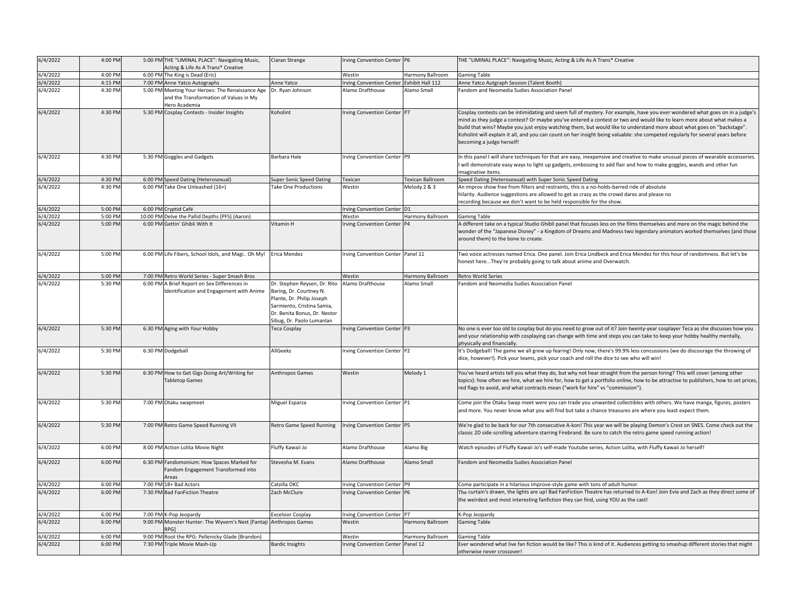| 6/4/2022 | 4:00 PM | 5:00 PM THE "LIMINAL PLACE": Navigating Music,                                                              | Ciaran Strange                                                                                                                                                                  | Irving Convention Center P6              |                         | THE "LIMINAL PLACE": Navigating Music, Acting & Life As A Trans* Creative                                                                                                                                                                                                                                                                                                                                                                                                                                                                       |
|----------|---------|-------------------------------------------------------------------------------------------------------------|---------------------------------------------------------------------------------------------------------------------------------------------------------------------------------|------------------------------------------|-------------------------|-------------------------------------------------------------------------------------------------------------------------------------------------------------------------------------------------------------------------------------------------------------------------------------------------------------------------------------------------------------------------------------------------------------------------------------------------------------------------------------------------------------------------------------------------|
|          |         | Acting & Life As A Trans* Creative                                                                          |                                                                                                                                                                                 |                                          |                         |                                                                                                                                                                                                                                                                                                                                                                                                                                                                                                                                                 |
| 6/4/2022 | 4:00 PM | 6:00 PM The King is Dead (Eric)                                                                             |                                                                                                                                                                                 | Westin                                   | Harmony Ballroom        | <b>Gaming Table</b>                                                                                                                                                                                                                                                                                                                                                                                                                                                                                                                             |
| 6/4/2022 | 4:15 PM | 7:00 PM Anne Yatco Autographs                                                                               | Anne Yatco                                                                                                                                                                      | rving Convention Center Exhibit Hall 112 |                         | Anne Yatco Autgraph Session (Talent Booth)                                                                                                                                                                                                                                                                                                                                                                                                                                                                                                      |
| 6/4/2022 | 4:30 PM | 5:00 PM Meeting Your Heroes: The Renaissance Age<br>and the Transformation of Values in My<br>Hero Academia | Dr. Ryan Johnson                                                                                                                                                                | Alamo Drafthouse                         | Alamo Small             | Fandom and Neomedia Sudies Association Panel                                                                                                                                                                                                                                                                                                                                                                                                                                                                                                    |
| 6/4/2022 | 4:30 PM | 5:30 PM Cosplay Contests - Insider Insights                                                                 | Koholint                                                                                                                                                                        | Irving Convention Center P7              |                         | Cosplay contests can be intimidating and seem full of mystery. For example, have you ever wondered what goes on in a judge's<br>mind as they judge a contest? Or maybe you've entered a contest or two and would like to learn more about what makes a<br>build that wins? Maybe you just enjoy watching them, but would like to understand more about what goes on "backstage".<br>Koholint will explain it all, and you can count on her insight being valuable: she competed regularly for several years before<br>becoming a judge herself! |
| 6/4/2022 | 4:30 PM | 5:30 PM Goggles and Gadgets                                                                                 | Barbara Hale                                                                                                                                                                    | Irving Convention Center P9              |                         | In this panel I will share techniques for that are easy, inexpensive and creative to make unusual pieces of wearable accessories.<br>will demonstrate easy ways to light up gadgets, embossing to add flair and how to make goggles, wands and other fun<br>maginative items.                                                                                                                                                                                                                                                                   |
| 6/4/2022 | 4:30 PN | 6:00 PM Speed Dating (Heterosexual)                                                                         | <b>Super Sonic Speed Dating</b>                                                                                                                                                 | Texican                                  | <b>Texican Ballroom</b> | Speed Dating (Heterosexual) with Super Sonic Speed Dating                                                                                                                                                                                                                                                                                                                                                                                                                                                                                       |
| 6/4/2022 | 4:30 PM | 6:00 PM Take One Unleashed (16+)                                                                            | <b>Take One Productions</b>                                                                                                                                                     | Westin                                   | Melody 2 & 3            | An improv show free from filters and restraints, this is a no-holds-barred ride of absolute<br>hilarity. Audience suggestions are allowed to get as crazy as the crowd dares and please no<br>ecording because we don't want to be held responsible for the show.                                                                                                                                                                                                                                                                               |
| 6/4/2022 | 5:00 PM | 6:00 PM Cryptid Café                                                                                        |                                                                                                                                                                                 | Irving Convention Center D1              |                         |                                                                                                                                                                                                                                                                                                                                                                                                                                                                                                                                                 |
| 6/4/2022 | 5:00 PM | 10:00 PM Delve the Pallid Depths (PFS) (Aaron)                                                              |                                                                                                                                                                                 | Westin                                   | Harmony Ballroom        | Gaming Table                                                                                                                                                                                                                                                                                                                                                                                                                                                                                                                                    |
| 6/4/2022 | 5:00 PM | 6:00 PM Gettin' Ghibli With It                                                                              | Vitamin H                                                                                                                                                                       | Irving Convention Center                 | P4                      | A different take on a typical Studio Ghibli panel that focuses less on the films themselves and more on the magic behind the<br>wonder of the "Japanese Disney" - a Kingdom of Dreams and Madness two legendary animators worked themselves (and those<br>around them) to the bone to create.                                                                                                                                                                                                                                                   |
| 6/4/2022 | 5:00 PM | 6:00 PM Life Fibers, School Idols, and Magi Oh My!                                                          | Erica Mendez                                                                                                                                                                    | Irving Convention Center Panel 11        |                         | Two voice actresses named Erica. One panel. Join Erica Lindbeck and Erica Mendez for this hour of randomness. But let's be<br>honest hereThey're probably going to talk about anime and Overwatch.                                                                                                                                                                                                                                                                                                                                              |
| 6/4/2022 | 5:00 PM | 7:00 PM Retro World Series - Super Smash Bros                                                               |                                                                                                                                                                                 | Westin                                   | Harmony Ballroom        | <b>Retro World Series</b>                                                                                                                                                                                                                                                                                                                                                                                                                                                                                                                       |
| 6/4/2022 | 5:30 PM | 6:00 PM A Brief Report on Sex Differences in<br>Identification and Engagement with Anime                    | Dr. Stephen Reysen, Dr. Rito<br>Baring, Dr. Courtney N.<br>Plante, Dr. Philip Joseph<br>Sarmiento, Cristina Samia,<br>Dr. Benita Bonus, Dr. Nestor<br>Sibug, Dr. Paolo Lumanlan | Alamo Drafthouse                         | Alamo Small             | Fandom and Neomedia Sudies Association Panel                                                                                                                                                                                                                                                                                                                                                                                                                                                                                                    |
| 6/4/2022 | 5:30 PM | 6:30 PM Aging with Your Hobby                                                                               | Teca Cosplay                                                                                                                                                                    | Irving Convention Center P3              |                         | No one is ever too old to cosplay but do you need to grow out of it? Join twenty-year cosplayer Teca as she discusses how you<br>and your relationship with cosplaying can change with time and steps you can take to keep your hobby healthy mentally,<br>physically and financially.                                                                                                                                                                                                                                                          |
| 6/4/2022 | 5:30 PM | 6:30 PM Dodgeball                                                                                           | AllGeekz                                                                                                                                                                        | Irving Convention Center P2              |                         | It's Dodgeball! The game we all grew up fearing! Only now, there's 99.9% less concussions (we do discourage the throwing of<br>dice, however!). Pick your teams, pick your coach and roll the dice to see who will win!                                                                                                                                                                                                                                                                                                                         |
| 6/4/2022 | 5:30 PM | 6:30 PM How to Get Gigs Doing Art/Writing for<br><b>Tabletop Games</b>                                      | Anthropos Games                                                                                                                                                                 | Westin                                   | Melody 1                | You've heard artists tell you what they do, but why not hear straight from the person hiring? This will cover (among other<br>topics): how often we hire, what we hire for, how to get a portfolio online, how to be attractive to publishers, how to set prices,<br>red flags to avoid, and what contracts mean ("work for hire" vs "commission").                                                                                                                                                                                             |
| 6/4/2022 | 5:30 PM | 7:00 PM Otaku swapmeet                                                                                      | Miguel Esparza                                                                                                                                                                  | Irving Convention Center P1              |                         | Come join the Otaku Swap meet were you can trade you unwanted collectibles with others. We have manga, figures, posters<br>and more. You never know what you will find but take a chance treasures are where you least expect them.                                                                                                                                                                                                                                                                                                             |
| 6/4/2022 | 5:30 PM | 7:00 PM Retro Game Speed Running VII                                                                        | Retro Game Speed Running                                                                                                                                                        | Irving Convention Center P5              |                         | We're glad to be back for our 7th consecutive A-kon! This year we will be playing Demon's Crest on SNES. Come check out the<br>classic 2D side-scrolling adventure starring Firebrand. Be sure to catch the retro game speed running action!                                                                                                                                                                                                                                                                                                    |
| 6/4/2022 | 6:00 PM | 8:00 PM Action Lolita Movie Night                                                                           | Fluffy Kawaii Jo                                                                                                                                                                | Alamo Drafthouse                         | Alamo Big               | Watch episodes of Fluffy Kawaii Jo's self-made Youtube series, Action Lolita, with Fluffy Kawaii Jo herself!                                                                                                                                                                                                                                                                                                                                                                                                                                    |
| 6/4/2022 | 6:00 PM | 6:30 PM Fandomonium: How Spaces Marked for<br>Fandom Engagement Transformed into<br>Areas                   | Stevesha M. Evans                                                                                                                                                               | Alamo Drafthouse                         | Alamo Small             | Fandom and Neomedia Sudies Association Panel                                                                                                                                                                                                                                                                                                                                                                                                                                                                                                    |
| 6/4/2022 | 6:00 PM | 7:00 PM 18+ Bad Actors                                                                                      | Catzilla OKC                                                                                                                                                                    | rving Convention Center P9               |                         | Come participate in a hilarious improve-style game with tons of adult humor.                                                                                                                                                                                                                                                                                                                                                                                                                                                                    |
| 6/4/2022 | 6:00 PM | 7:30 PM Bad FanFiction Theatre                                                                              | Zach McClure                                                                                                                                                                    | rving Convention Center P6               |                         | The curtain's drawn, the lights are up! Bad FanFiction Theatre has returned to A-Kon! Join Evie and Zach as they direct some of<br>the weirdest and most interesting fanfiction they can find, using YOU as the cast!                                                                                                                                                                                                                                                                                                                           |
| 6/4/2022 | 6:00 PM | 7:00 PM K-Pop Jeopardy                                                                                      | <b>Excelsior Cosplay</b>                                                                                                                                                        | Irving Convention Center P7              |                         | K-Pop Jeopardy                                                                                                                                                                                                                                                                                                                                                                                                                                                                                                                                  |
| 6/4/2022 | 6:00 PM | 9:00 PM Monster Hunter: The Wyvern's Nest [Fantaji                                                          | Anthropos Games                                                                                                                                                                 | Westin                                   | Harmony Ballroom        | <b>Gaming Table</b>                                                                                                                                                                                                                                                                                                                                                                                                                                                                                                                             |
| 6/4/2022 | 6:00 PM | 9:00 PM Root the RPG: Pellenicky Glade (Brandon)                                                            |                                                                                                                                                                                 | Westin                                   | Harmony Ballroom        | <b>Gaming Table</b>                                                                                                                                                                                                                                                                                                                                                                                                                                                                                                                             |
| 6/4/2022 | 6:00 PM | 7:30 PM Triple Movie Mash-Up                                                                                | <b>Bardic Insights</b>                                                                                                                                                          | <b>Irving Convention Center</b>          | Panel 12                | Ever wondered what live fan fiction would be like? This is kind of it. Audiences getting to smashup different stories that might<br>otherwise never crossover!                                                                                                                                                                                                                                                                                                                                                                                  |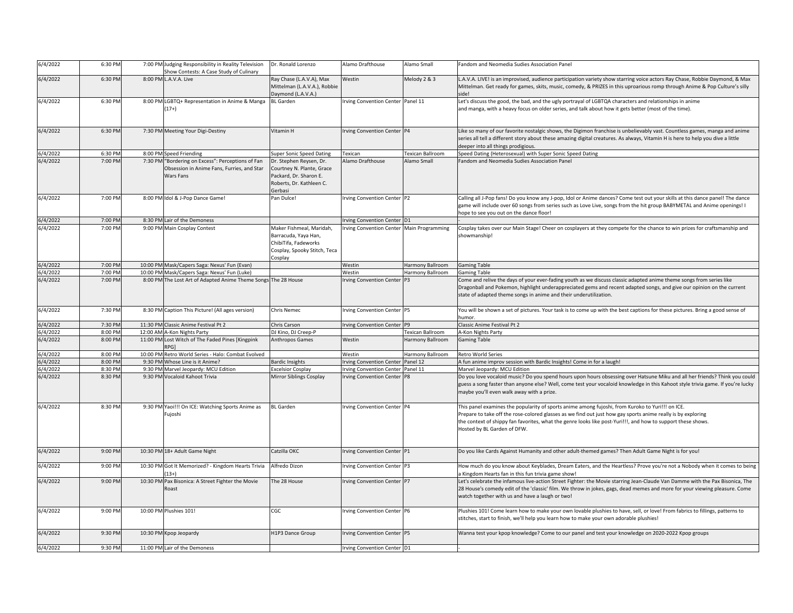| 6/4/2022 | 6:30 PM | 7:00 PM Judging Responsibility in Reality Television<br>Show Contests: A Case Study of Culinary              | Dr. Ronald Lorenzo                                                                                                    | Alamo Drafthouse                          | Alamo Small             | Fandom and Neomedia Sudies Association Panel                                                                                                                                                                                                                                                                                                                    |
|----------|---------|--------------------------------------------------------------------------------------------------------------|-----------------------------------------------------------------------------------------------------------------------|-------------------------------------------|-------------------------|-----------------------------------------------------------------------------------------------------------------------------------------------------------------------------------------------------------------------------------------------------------------------------------------------------------------------------------------------------------------|
| 6/4/2022 | 6:30 PM | 8:00 PM L.A.V.A. Live                                                                                        | Ray Chase (L.A.V.A), Max<br>Mittelman (L.A.V.A.), Robbie<br>Daymond (L.A.V.A.)                                        | Westin                                    | Melody 2 & 3            | L.A.V.A. LIVE! is an improvised, audience participation variety show starring voice actors Ray Chase, Robbie Daymond, & Max<br>Mittelman. Get ready for games, skits, music, comedy, & PRIZES in this uproarious romp through Anime & Pop Culture's silly                                                                                                       |
| 6/4/2022 | 6:30 PM | 8:00 PM LGBTQ+ Representation in Anime & Manga<br>$17+)$                                                     | <b>BL</b> Garden                                                                                                      | Irving Convention Center Panel 11         |                         | Let's discuss the good, the bad, and the ugly portrayal of LGBTQA characters and relationships in anime<br>and manga, with a heavy focus on older series, and talk about how it gets better (most of the time).                                                                                                                                                 |
| 6/4/2022 | 6:30 PM | 7:30 PM Meeting Your Digi-Destiny                                                                            | Vitamin H                                                                                                             | Irving Convention Center P4               |                         | Like so many of our favorite nostalgic shows, the Digimon franchise is unbelievably vast. Countless games, manga and anime<br>series all tell a different story about these amazing digital creatures. As always, Vitamin H is here to help you dive a little<br>deeper into all things prodigious.                                                             |
| 6/4/2022 | 6:30 PM | 8:00 PM Speed Friending                                                                                      | <b>Super Sonic Speed Dating</b>                                                                                       | Texican                                   | Texican Ballroom        | Speed Dating (Heterosexual) with Super Sonic Speed Dating                                                                                                                                                                                                                                                                                                       |
| 6/4/2022 | 7:00 PM | 7:30 PM "Bordering on Excess": Perceptions of Fan<br>Obsession in Anime Fans, Furries, and Star<br>Wars Fans | Dr. Stephen Reysen, Dr.<br>Courtney N. Plante, Grace<br>Packard, Dr. Sharon E.<br>Roberts, Dr. Kathleen C.<br>Gerbasi | Alamo Drafthouse                          | Alamo Small             | Fandom and Neomedia Sudies Association Panel                                                                                                                                                                                                                                                                                                                    |
| 6/4/2022 | 7:00 PM | 8:00 PM Idol & J-Pop Dance Game!                                                                             | Pan Dulce!                                                                                                            | Irving Convention Center P2               |                         | Calling all J-Pop fans! Do you know any J-pop, Idol or Anime dances? Come test out your skills at this dance pane!! The dance<br>game will include over 60 songs from series such as Love Live, songs from the hit group BABYMETAL and Anime openings! I<br>hope to see you out on the dance floor!                                                             |
| 6/4/2022 | 7:00 PM | 8:30 PM Lair of the Demoness                                                                                 |                                                                                                                       | Irving Convention Center D1               |                         |                                                                                                                                                                                                                                                                                                                                                                 |
| 6/4/2022 | 7:00 PM | 9:00 PM Main Cosplay Contest                                                                                 | Maker Fishmeal, Maridah,<br>Barracuda, Yaya Han,<br>ChibiTifa, Fadeworks<br>Cosplay, Spooky Stitch, Teca<br>Cosplay   | Irving Convention Center Main Programming |                         | Cosplay takes over our Main Stage! Cheer on cosplayers at they compete for the chance to win prizes for craftsmanship and<br>showmanship!                                                                                                                                                                                                                       |
| 6/4/2022 | 7:00 PM | 10:00 PM Mask/Capers Saga: Nexus' Fun (Evan)                                                                 |                                                                                                                       | Westin                                    | Harmony Ballroom        | <b>Gaming Table</b>                                                                                                                                                                                                                                                                                                                                             |
| 5/4/2022 | 7:00 PM | 10:00 PM Mask/Capers Saga: Nexus' Fun (Luke)                                                                 |                                                                                                                       | Westin                                    | Harmony Ballroom        | <b>Gaming Table</b>                                                                                                                                                                                                                                                                                                                                             |
| 6/4/2022 | 7:00 PM | 8:00 PM The Lost Art of Adapted Anime Theme Songs The 28 House                                               |                                                                                                                       | Irving Convention Center P3               |                         | Come and relive the days of your ever-fading youth as we discuss classic adapted anime theme songs from series like<br>Dragonball and Pokemon, highlight underappreciated gems and recent adapted songs, and give our opinion on the current<br>state of adapted theme songs in anime and their underutilization.                                               |
| 6/4/2022 | 7:30 PM | 8:30 PM Caption This Picture! (All ages version)                                                             | <b>Chris Nemec</b>                                                                                                    | Irving Convention Center P5               |                         | You will be shown a set of pictures. Your task is to come up with the best captions for these pictures. Bring a good sense of<br>humor.                                                                                                                                                                                                                         |
| 6/4/2022 | 7:30 PM | 11:30 PM Classic Anime Festival Pt 2                                                                         | Chris Carson                                                                                                          | Irving Convention Center P9               |                         | Classic Anime Festival Pt 2                                                                                                                                                                                                                                                                                                                                     |
| 6/4/2022 | 8:00 PM | 12:00 AM A-Kon Nights Party                                                                                  | DJ Kino, DJ Creep-P                                                                                                   |                                           | <b>Texican Ballroom</b> | A-Kon Nights Party                                                                                                                                                                                                                                                                                                                                              |
| 6/4/2022 | 8:00 PM | 11:00 PM Lost Witch of The Faded Pines [Kingpink<br>የPG1                                                     | Anthropos Games                                                                                                       | Westin                                    | Harmony Ballroom        | <b>Gaming Table</b>                                                                                                                                                                                                                                                                                                                                             |
| 6/4/2022 | 8:00 PM | 10:00 PM Retro World Series - Halo: Combat Evolved                                                           |                                                                                                                       | Westin                                    | Harmony Ballroom        | <b>Retro World Series</b>                                                                                                                                                                                                                                                                                                                                       |
| 5/4/2022 | 8:00 PM | 9:30 PM Whose Line is it Anime?                                                                              | <b>Bardic Insights</b>                                                                                                | <b>Irving Convention Center</b>           | Panel 12                | A fun anime improv session with Bardic Insights! Come in for a laugh!                                                                                                                                                                                                                                                                                           |
| 6/4/2022 | 8:30 PM | 9:30 PM Marvel Jeopardy: MCU Edition                                                                         | <b>Excelsior Cosplay</b>                                                                                              | <b>Irving Convention Center</b>           | Panel 11                | Marvel Jeopardy: MCU Edition                                                                                                                                                                                                                                                                                                                                    |
| 6/4/2022 | 8:30 PM | 9:30 PM Vocaloid Kahoot Trivia                                                                               | Mirror Siblings Cosplay                                                                                               | Irving Convention Center P8               |                         | Do you love vocaloid music? Do you spend hours upon hours obsessing over Hatsune Miku and all her friends? Think you could<br>guess a song faster than anyone else? Well, come test your vocaloid knowledge in this Kahoot style trivia game. If you're lucky<br>maybe you'll even walk away with a prize.                                                      |
| 6/4/2022 | 8:30 PM | 9:30 PM Yaoi!!! On ICE: Watching Sports Anime as<br>Fujoshi                                                  | <b>BL</b> Garden                                                                                                      | Irving Convention Center P4               |                         | This panel examines the popularity of sports anime among fujoshi, from Kuroko to Yuri!!! on ICE.<br>Prepare to take off the rose-colored glasses as we find out just how gay sports anime really is by exploring<br>the context of shippy fan favorites, what the genre looks like post-Yuri!!!, and how to support these shows.<br>Hosted by BL Garden of DFW. |
| 6/4/2022 | 9:00 PM | 10:30 PM 18+ Adult Game Night                                                                                | Catzilla OKC                                                                                                          | Irving Convention Center P1               |                         | Do you like Cards Against Humanity and other adult-themed games? Then Adult Game Night is for you!                                                                                                                                                                                                                                                              |
| 6/4/2022 | 9:00 PM | 10:30 PM Got It Memorized? - Kingdom Hearts Trivia<br>$13+$                                                  | Alfredo Dizon                                                                                                         | Irving Convention Center P3               |                         | How much do you know about Keyblades, Dream Eaters, and the Heartless? Prove you're not a Nobody when it comes to being<br>a Kingdom Hearts fan in this fun trivia game show!                                                                                                                                                                                   |
| 6/4/2022 | 9:00 PM | 10:30 PM Pax Bisonica: A Street Fighter the Movie<br>Roast                                                   | The 28 House                                                                                                          | Irving Convention Center P7               |                         | Let's celebrate the infamous live-action Street Fighter: the Movie starring Jean-Claude Van Damme with the Pax Bisonica, The<br>28 House's comedy edit of the 'classic' film. We throw in jokes, gags, dead memes and more for your viewing pleasure. Come<br>watch together with us and have a laugh or two!                                                   |
| 6/4/2022 | 9:00 PM | 10:00 PM Plushies 101!                                                                                       | CGC                                                                                                                   | Irving Convention Center P6               |                         | Plushies 101! Come learn how to make your own lovable plushies to have, sell, or love! From fabrics to fillings, patterns to<br>stitches, start to finish, we'll help you learn how to make your own adorable plushies!                                                                                                                                         |
| 6/4/2022 | 9:30 PM | 10:30 PM Kpop Jeopardy                                                                                       | H1P3 Dance Group                                                                                                      | Irving Convention Center P5               |                         | Wanna test your kpop knowledge? Come to our panel and test your knowledge on 2020-2022 Kpop groups                                                                                                                                                                                                                                                              |
| 6/4/2022 | 9:30 PM | 11:00 PM Lair of the Demoness                                                                                |                                                                                                                       | Irving Convention Center D1               |                         |                                                                                                                                                                                                                                                                                                                                                                 |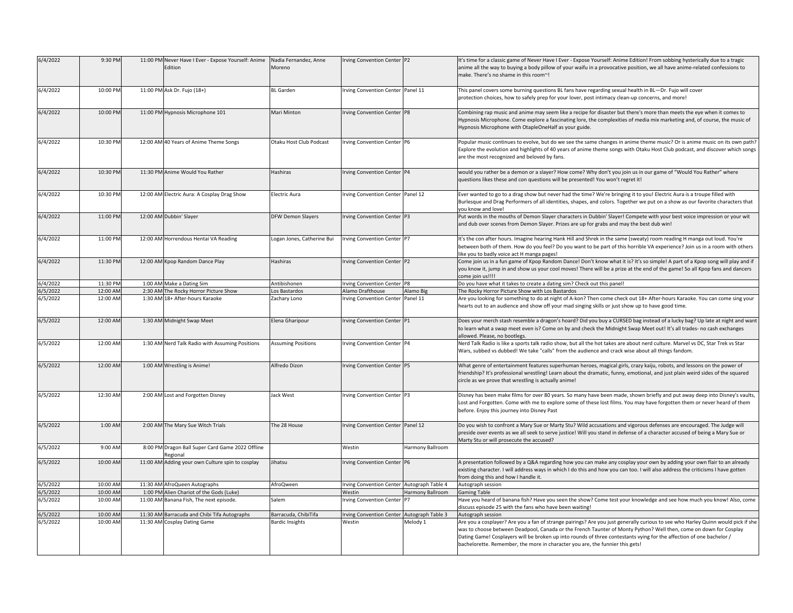| 6/4/2022 | 9:30 PM  | 11:00 PM Never Have I Ever - Expose Yourself: Anime<br>Edition | Nadia Fernandez, Anne<br>Moreno | rving Convention Center P2                 |                  | It's time for a classic game of Never Have I Ever - Expose Yourself: Anime Edition! From sobbing hysterically due to a tragic<br>anime all the way to buying a body pillow of your waifu in a provocative position, we all have anime-related confessions to<br>make. There's no shame in this room~!                                                                                                                                                          |
|----------|----------|----------------------------------------------------------------|---------------------------------|--------------------------------------------|------------------|----------------------------------------------------------------------------------------------------------------------------------------------------------------------------------------------------------------------------------------------------------------------------------------------------------------------------------------------------------------------------------------------------------------------------------------------------------------|
| 6/4/2022 | 10:00 PM | 11:00 PM Ask Dr. Fujo (18+)                                    | <b>BL</b> Garden                | rving Convention Center Panel 11           |                  | This panel covers some burning questions BL fans have regarding sexual health in BL-Dr. Fujo will cover<br>protection choices, how to safely prep for your lover, post intimacy clean-up concerns, and more!                                                                                                                                                                                                                                                   |
| 6/4/2022 | 10:00 PM | 11:00 PM Hypnosis Microphone 101                               | Mari Minton                     | rving Convention Center P8                 |                  | Combining rap music and anime may seem like a recipe for disaster but there's more than meets the eye when it comes to<br>Hypnosis Microphone. Come explore a fascinating lore, the complexities of media mix marketing and, of course, the music of<br>Hypnosis Microphone with OtapleOneHalf as your guide.                                                                                                                                                  |
| 6/4/2022 | 10:30 PM | 12:00 AM 40 Years of Anime Theme Songs                         | Otaku Host Club Podcast         | Irving Convention Center P6                |                  | Popular music continues to evolve, but do we see the same changes in anime theme music? Or is anime music on its own path?<br>Explore the evolution and highlights of 40 years of anime theme songs with Otaku Host Club podcast, and discover which songs<br>are the most recognized and beloved by fans.                                                                                                                                                     |
| 6/4/2022 | 10:30 PM | 11:30 PM Anime Would You Rather                                | Hashiras                        | rving Convention Center P4                 |                  | would you rather be a demon or a slayer? How come? Why don't you join us in our game of "Would You Rather" where<br>questions likes these and con questions will be presented! You won't regret it!                                                                                                                                                                                                                                                            |
| 6/4/2022 | 10:30 PM | 12:00 AM Electric Aura: A Cosplay Drag Show                    | <b>Electric Aura</b>            | Irving Convention Center Panel 12          |                  | Ever wanted to go to a drag show but never had the time? We're bringing it to you! Electric Aura is a troupe filled with<br>Burlesque and Drag Performers of all identities, shapes, and colors. Together we put on a show as our favorite characters that                                                                                                                                                                                                     |
| 6/4/2022 | 11:00 PM | 12:00 AM Dubbin' Slayer                                        | <b>DFW Demon Slayers</b>        | Irving Convention Center P3                |                  | vou know and love!<br>Put words in the mouths of Demon Slayer characters in Dubbin' Slayer! Compete with your best voice impression or your wit<br>and dub over scenes from Demon Slayer. Prizes are up for grabs and may the best dub win!                                                                                                                                                                                                                    |
| 6/4/2022 | 11:00 PM | 12:00 AM Horrendous Hentai VA Reading                          | Logan Jones, Catherine Bui      | Irving Convention Center P7                |                  | It's the con after hours. Imagine hearing Hank Hill and Shrek in the same (sweaty) room reading H manga out loud. You're<br>between both of them. How do you feel? Do you want to be part of this horrible VA experience? Join us in a room with others<br>like you to badly voice act H manga pages!                                                                                                                                                          |
| 6/4/2022 | 11:30 PM | 12:00 AM Kpop Random Dance Play                                | Hashiras                        | Irving Convention Center P2                |                  | Come join us in a fun game of Kpop Random Dance! Don't know what it is? It's so simple! A part of a Kpop song will play and if<br>you know it, jump in and show us your cool moves! There will be a prize at the end of the game! So all Kpop fans and dancers<br>come join us!!!!                                                                                                                                                                             |
| 6/4/2022 | 11:30 PM | 1:00 AM Make a Dating Sim                                      | Antibishonen                    | rving Convention Center P8                 |                  | Do you have what it takes to create a dating sim? Check out this panel!                                                                                                                                                                                                                                                                                                                                                                                        |
| 6/5/2022 | 12:00 AN | 2:30 AM The Rocky Horror Picture Show                          | Los Bastardos                   | Alamo Drafthouse                           | Alamo Big        | The Rocky Horror Picture Show with Los Bastardos                                                                                                                                                                                                                                                                                                                                                                                                               |
| 6/5/2022 | 12:00 AM | 1:30 AM 18+ After-hours Karaoke                                | Zachary Lono                    | rving Convention Center Panel 11           |                  | Are you looking for something to do at night of A-kon? Then come check out 18+ After-hours Karaoke. You can come sing your<br>hearts out to an audience and show off your mad singing skills or just show up to have good time.                                                                                                                                                                                                                                |
| 6/5/2022 | 12:00 AM | 1:30 AM Midnight Swap Meet                                     | Elena Gharipour                 | rving Convention Center P1                 |                  | Does your merch stash resemble a dragon's hoard? Did you buy a CURSED bag instead of a lucky bag? Up late at night and want<br>to learn what a swap meet even is? Come on by and check the Midnight Swap Meet out! It's all trades- no cash exchanges<br>allowed. Please, no bootlegs.                                                                                                                                                                         |
| 6/5/2022 | 12:00 AM | 1:30 AM Nerd Talk Radio with Assuming Positions                | <b>Assuming Positions</b>       | rving Convention Center P4                 |                  | Nerd Talk Radio is like a sports talk radio show, but all the hot takes are about nerd culture. Marvel vs DC, Star Trek vs Star<br>Wars, subbed vs dubbed! We take "calls" from the audience and crack wise about all things fandom.                                                                                                                                                                                                                           |
| 6/5/2022 | 12:00 AM | 1:00 AM Wrestling is Anime!                                    | Alfredo Dizon                   | rving Convention Center P5                 |                  | What genre of entertainment features superhuman heroes, magical girls, crazy kaiju, robots, and lessons on the power of<br>friendship? It's professional wrestling! Learn about the dramatic, funny, emotional, and just plain weird sides of the squared<br>circle as we prove that wrestling is actually anime!                                                                                                                                              |
| 6/5/2022 | 12:30 AM | 2:00 AM Lost and Forgotten Disney                              | Jack West                       | Irving Convention Center P3                |                  | Disney has been make films for over 80 years. So many have been made, shown briefly and put away deep into Disney's vaults,<br>Lost and Forgotten. Come with me to explore some of these lost films. You may have forgotten them or never heard of them<br>before. Enjoy this journey into Disney Past                                                                                                                                                         |
| 6/5/2022 | 1:00 AM  | 2:00 AM The Mary Sue Witch Trials                              | The 28 House                    | rving Convention Center Panel 12           |                  | Do you wish to confront a Mary Sue or Marty Stu? Wild accusations and vigorous defenses are encouraged. The Judge will<br>preside over events as we all seek to serve justice! Will you stand in defense of a character accused of being a Mary Sue or<br>Marty Stu or will prosecute the accused?                                                                                                                                                             |
| 6/5/2022 | 9:00 AM  | 8:00 PM Dragon Ball Super Card Game 2022 Offline<br>Regional   |                                 | Westin                                     | Harmony Ballroom |                                                                                                                                                                                                                                                                                                                                                                                                                                                                |
| 6/5/2022 | 10:00 AM | 11:00 AM Adding your own Culture spin to cosplay               | Jihatsu                         | rving Convention Center P6                 |                  | A presentation followed by a Q&A regarding how you can make any cosplay your own by adding your own flair to an already<br>existing character. I will address ways in which I do this and how you can too. I will also address the criticisms I have gotten<br>from doing this and how I handle it.                                                                                                                                                            |
| 6/5/2022 | 10:00 AM | 11:30 AM AfroQueen Autographs                                  | AfroQween                       | Irving Convention Center Autograph Table 4 |                  | Autograph session                                                                                                                                                                                                                                                                                                                                                                                                                                              |
| 6/5/2022 | 10:00 AM | 1:00 PM Alien Chariot of the Gods (Luke)                       |                                 | Westin                                     | Harmony Ballroom | <b>Gaming Table</b>                                                                                                                                                                                                                                                                                                                                                                                                                                            |
| 6/5/2022 | 10:00 AM | 11:00 AM Banana Fish, The next episode.                        | Salem                           | rving Convention Center                    |                  | Have you heard of banana fish? Have you seen the show? Come test your knowledge and see how much you know! Also, come<br>discuss episode 25 with the fans who have been waiting!                                                                                                                                                                                                                                                                               |
| 6/5/2022 | 10:00 AM | 11:30 AM Barracuda and Chibi Tifa Autographs                   | Barracuda, ChibiTifa            | Irving Convention Center Autograph Table 3 |                  | Autograph session                                                                                                                                                                                                                                                                                                                                                                                                                                              |
| 6/5/2022 | 10:00 AM | 11:30 AM Cosplay Dating Game                                   | <b>Bardic Insights</b>          | Westin                                     | Melody 1         | Are you a cosplayer? Are you a fan of strange pairings? Are you just generally curious to see who Harley Quinn would pick if she<br>was to choose between Deadpool, Canada or the French Taunter of Monty Python? Well then, come on down for Cosplay<br>Dating Game! Cosplayers will be broken up into rounds of three contestants vying for the affection of one bachelor /<br>bachelorette. Remember, the more in character you are, the funnier this gets! |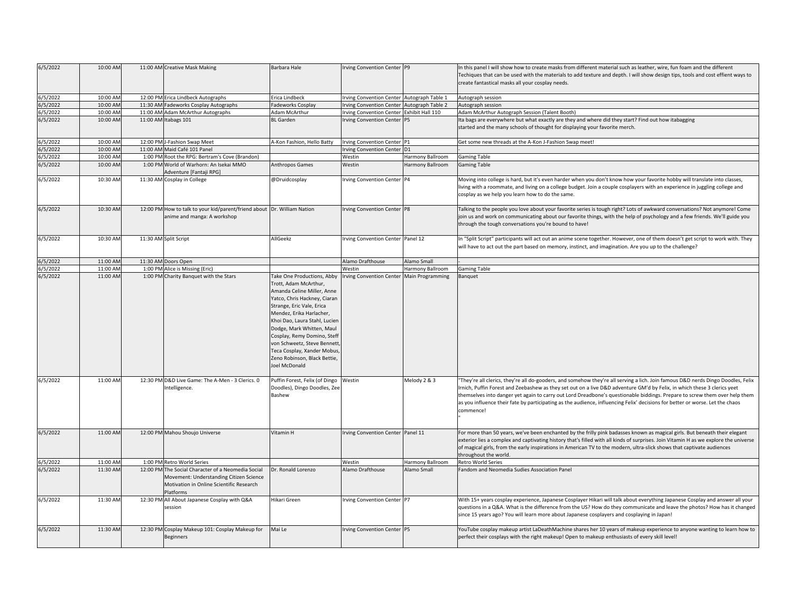| 6/5/2022             | 10:00 AM             | 11:00 AM Creative Mask Making                                                                                                                          | Barbara Hale                                                                                                                                                                                                                                                                                                                                              | Irving Convention Center P9                         |                         | In this panel I will show how to create masks from different material such as leather, wire, fun foam and the different<br>Techiques that can be used with the materials to add texture and depth. I will show design tips, tools and cost effient ways to<br>create fantastical masks all your cosplay needs.                                                                                                                                                                                                                           |
|----------------------|----------------------|--------------------------------------------------------------------------------------------------------------------------------------------------------|-----------------------------------------------------------------------------------------------------------------------------------------------------------------------------------------------------------------------------------------------------------------------------------------------------------------------------------------------------------|-----------------------------------------------------|-------------------------|------------------------------------------------------------------------------------------------------------------------------------------------------------------------------------------------------------------------------------------------------------------------------------------------------------------------------------------------------------------------------------------------------------------------------------------------------------------------------------------------------------------------------------------|
| 6/5/2022             | 10:00 AM             | 12:00 PM Erica Lindbeck Autographs                                                                                                                     | Erica Lindbeck                                                                                                                                                                                                                                                                                                                                            | Irving Convention Center Autograph Table 1          |                         | Autograph session                                                                                                                                                                                                                                                                                                                                                                                                                                                                                                                        |
| 6/5/2022             | 10:00 AM             | 11:30 AM Fadeworks Cosplay Autographs                                                                                                                  | <b>Fadeworks Cosplay</b>                                                                                                                                                                                                                                                                                                                                  | Irving Convention Center Autograph Table 2          |                         | Autograph session                                                                                                                                                                                                                                                                                                                                                                                                                                                                                                                        |
| 6/5/2022             | 10:00 AM             | 11:00 AM Adam McArthur Autographs                                                                                                                      | Adam McArthur                                                                                                                                                                                                                                                                                                                                             | Irving Convention Center Exhibit Hall 110           |                         | Adam McArthur Autograph Session (Talent Booth)                                                                                                                                                                                                                                                                                                                                                                                                                                                                                           |
| 6/5/2022             | 10:00 AM             | 11:00 AM Itabags 101                                                                                                                                   | <b>BL</b> Garden                                                                                                                                                                                                                                                                                                                                          | Irving Convention Center P5                         |                         | Ita bags are everywhere but what exactly are they and where did they start? Find out how itabagging<br>started and the many schools of thought for displaying your favorite merch.                                                                                                                                                                                                                                                                                                                                                       |
| 6/5/2022             | 10:00 AM             | 12:00 PM J-Fashion Swap Meet                                                                                                                           | A-Kon Fashion, Hello Batty                                                                                                                                                                                                                                                                                                                                | Irving Convention Center P1                         |                         | Get some new threads at the A-Kon J-Fashion Swap meet!                                                                                                                                                                                                                                                                                                                                                                                                                                                                                   |
| 5/5/2022             | 10:00 AM             | 11:00 AM Maid Café 101 Panel                                                                                                                           |                                                                                                                                                                                                                                                                                                                                                           | Irving Convention Center D1                         |                         |                                                                                                                                                                                                                                                                                                                                                                                                                                                                                                                                          |
| 6/5/2022             | 10:00 AM             | 1:00 PM Root the RPG: Bertram's Cove (Brandon)                                                                                                         |                                                                                                                                                                                                                                                                                                                                                           | Westin                                              | <b>Harmony Ballroom</b> | <b>Gaming Table</b>                                                                                                                                                                                                                                                                                                                                                                                                                                                                                                                      |
| 6/5/2022             | 10:00 AM             | 1:00 PM World of Warhorn: An Isekai MMO<br>Adventure [Fantaji RPG]                                                                                     | Anthropos Games                                                                                                                                                                                                                                                                                                                                           | Westin                                              | Harmony Ballroom        | <b>Gaming Table</b>                                                                                                                                                                                                                                                                                                                                                                                                                                                                                                                      |
| 6/5/2022             | 10:30 AM             | 11:30 AM Cosplay in College                                                                                                                            | @Druidcosplay                                                                                                                                                                                                                                                                                                                                             | Irving Convention Center P4                         |                         | Moving into college is hard, but it's even harder when you don't know how your favorite hobby will translate into classes,<br>living with a roommate, and living on a college budget. Join a couple cosplayers with an experience in juggling college and<br>cosplay as we help you learn how to do the same.                                                                                                                                                                                                                            |
| 6/5/2022             | 10:30 AM             | 12:00 PM How to talk to your kid/parent/friend about<br>anime and manga: A workshop                                                                    | Dr. William Nation                                                                                                                                                                                                                                                                                                                                        | Irving Convention Center P8                         |                         | Talking to the people you love about your favorite series is tough right? Lots of awkward conversations? Not anymore! Come<br>join us and work on communicating about our favorite things, with the help of psychology and a few friends. We'll guide you<br>through the tough conversations you're bound to have!                                                                                                                                                                                                                       |
| 6/5/2022             | 10:30 AM             | 11:30 AM Split Script                                                                                                                                  | AllGeekz                                                                                                                                                                                                                                                                                                                                                  | Irving Convention Center Panel 12                   |                         | In "Split Script" participants will act out an anime scene together. However, one of them doesn't get script to work with. They<br>will have to act out the part based on memory, instinct, and imagination. Are you up to the challenge?                                                                                                                                                                                                                                                                                                |
| 6/5/2022             | 11:00 AM             | 11:30 AM Doors Open                                                                                                                                    |                                                                                                                                                                                                                                                                                                                                                           | Alamo Drafthouse                                    | Alamo Small             |                                                                                                                                                                                                                                                                                                                                                                                                                                                                                                                                          |
| 6/5/2022<br>6/5/2022 | 11:00 AM<br>11:00 AM | 1:00 PM Alice is Missing (Eric)<br>1:00 PM Charity Banquet with the Stars                                                                              | Take One Productions, Abby                                                                                                                                                                                                                                                                                                                                | Westin<br>Irving Convention Center Main Programming | Harmony Ballroom        | <b>Gaming Table</b><br>Banquet                                                                                                                                                                                                                                                                                                                                                                                                                                                                                                           |
|                      |                      |                                                                                                                                                        | Trott, Adam McArthur,<br>Amanda Celine Miller, Anne<br>Yatco, Chris Hackney, Ciaran<br>Strange, Eric Vale, Erica<br>Mendez, Erika Harlacher,<br>Khoi Dao, Laura Stahl, Lucien<br>Dodge, Mark Whitten, Maul<br>Cosplay, Remy Domino, Steff<br>von Schweetz, Steve Bennett,<br>Teca Cosplay, Xander Mobus,<br>Zeno Robinson, Black Bettie,<br>Joel McDonald |                                                     |                         |                                                                                                                                                                                                                                                                                                                                                                                                                                                                                                                                          |
| 6/5/2022             | 11:00 AM             | 12:30 PM D&D Live Game: The A-Men - 3 Clerics. 0<br>Intelligence.                                                                                      | Puffin Forest, Felix (of Dingo<br>Doodles), Dingo Doodles, Zee<br>Bashew                                                                                                                                                                                                                                                                                  | Westin                                              | Melody 2 & 3            | "They're all clerics, they're all do-gooders, and somehow they're all serving a lich. Join famous D&D nerds Dingo Doodles, Felix<br>Irnich, Puffin Forest and Zeebashew as they set out on a live D&D adventure GM'd by Felix, in which these 3 clerics yeet<br>themselves into danger yet again to carry out Lord Dreadbone's questionable biddings. Prepare to screw them over help them<br>as you influence their fate by participating as the audience, influencing Felix' decisions for better or worse. Let the chaos<br>commence! |
| 6/5/2022             | 11:00 AM             | 12:00 PM Mahou Shoujo Universe                                                                                                                         | Vitamin H                                                                                                                                                                                                                                                                                                                                                 | Irving Convention Center Panel 11                   |                         | For more than 50 years, we've been enchanted by the frilly pink badasses known as magical girls. But beneath their elegant<br>exterior lies a complex and captivating history that's filled with all kinds of surprises. Join Vitamin H as we explore the universe<br>of magical girls, from the early inspirations in American TV to the modern, ultra-slick shows that captivate audiences<br>throughout the world.                                                                                                                    |
| 6/5/2022             | 11:00 AM             | 1:00 PM Retro World Series                                                                                                                             |                                                                                                                                                                                                                                                                                                                                                           | Westin                                              | Harmony Ballroom        | Retro World Series                                                                                                                                                                                                                                                                                                                                                                                                                                                                                                                       |
| 6/5/2022             | 11:30 AM             | 12:00 PM The Social Character of a Neomedia Social<br>Movement: Understanding Citizen Science<br>Motivation in Online Scientific Research<br>Platforms | Dr. Ronald Lorenzo                                                                                                                                                                                                                                                                                                                                        | Alamo Drafthouse                                    | Alamo Small             | Fandom and Neomedia Sudies Association Panel                                                                                                                                                                                                                                                                                                                                                                                                                                                                                             |
| 6/5/2022             | 11:30 AM             | 12:30 PM All About Japanese Cosplay with Q&A<br>session                                                                                                | Hikari Green                                                                                                                                                                                                                                                                                                                                              | Irving Convention Center P7                         |                         | With 15+ years cosplay experience, Japanese Cosplayer Hikari will talk about everything Japanese Cosplay and answer all your<br>questions in a Q&A. What is the difference from the US? How do they communicate and leave the photos? How has it changed<br>since 15 years ago? You will learn more about Japanese cosplayers and cosplaying in Japan!                                                                                                                                                                                   |
| 6/5/2022             | 11:30 AM             | 12:30 PM Cosplay Makeup 101: Cosplay Makeup for<br><b>Beginners</b>                                                                                    | Mai Le                                                                                                                                                                                                                                                                                                                                                    | Irving Convention Center P5                         |                         | YouTube cosplay makeup artist LaDeathMachine shares her 10 years of makeup experience to anyone wanting to learn how to<br>perfect their cosplays with the right makeup! Open to makeup enthusiasts of every skill level!                                                                                                                                                                                                                                                                                                                |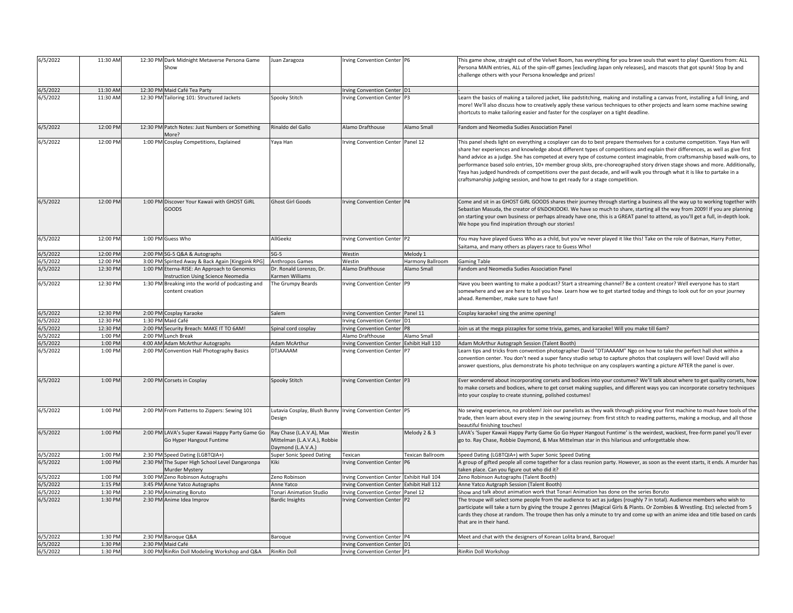| 6/5/2022           | 11:30 AM | 12:30 PM Dark Midnight Metaverse Persona Game                                      | Juan Zaragoza                                                                  | Irving Convention Center P6               |                  | This game show, straight out of the Velvet Room, has everything for you brave souls that want to play! Questions from: ALL                                                                                                                                                                                                                                                                                                                                                                                                                                                                                                                                                                                                             |
|--------------------|----------|------------------------------------------------------------------------------------|--------------------------------------------------------------------------------|-------------------------------------------|------------------|----------------------------------------------------------------------------------------------------------------------------------------------------------------------------------------------------------------------------------------------------------------------------------------------------------------------------------------------------------------------------------------------------------------------------------------------------------------------------------------------------------------------------------------------------------------------------------------------------------------------------------------------------------------------------------------------------------------------------------------|
|                    |          | Show                                                                               |                                                                                |                                           |                  | Persona MAIN entries, ALL of the spin-off games [excluding Japan only releases], and mascots that got spunk! Stop by and<br>challenge others with your Persona knowledge and prizes!                                                                                                                                                                                                                                                                                                                                                                                                                                                                                                                                                   |
|                    |          |                                                                                    |                                                                                |                                           |                  |                                                                                                                                                                                                                                                                                                                                                                                                                                                                                                                                                                                                                                                                                                                                        |
| 5/5/2022           | 11:30 AM | 12:30 PM Maid Café Tea Party                                                       |                                                                                | Irving Convention Center D1               |                  |                                                                                                                                                                                                                                                                                                                                                                                                                                                                                                                                                                                                                                                                                                                                        |
| 6/5/2022           | 11:30 AM | 12:30 PM Tailoring 101: Structured Jackets                                         | Spooky Stitch                                                                  | Irving Convention Center P3               |                  | Learn the basics of making a tailored jacket, like padstitching, making and installing a canvas front, installing a full lining, and<br>more! We'll also discuss how to creatively apply these various techniques to other projects and learn some machine sewing<br>shortcuts to make tailoring easier and faster for the cosplayer on a tight deadline.                                                                                                                                                                                                                                                                                                                                                                              |
| 6/5/2022           | 12:00 PM | 12:30 PM Patch Notes: Just Numbers or Something<br>More?                           | Rinaldo del Gallo                                                              | Alamo Drafthouse                          | Alamo Small      | Fandom and Neomedia Sudies Association Panel                                                                                                                                                                                                                                                                                                                                                                                                                                                                                                                                                                                                                                                                                           |
| 6/5/2022           | 12:00 PM | 1:00 PM Cosplay Competitions, Explained                                            | Yaya Han                                                                       | Irving Convention Center Panel 12         |                  | This panel sheds light on everything a cosplayer can do to best prepare themselves for a costume competition. Yaya Han will<br>share her experiences and knowledge about different types of competitions and explain their differences, as well as give first<br>hand advice as a judge. She has competed at every type of costume contest imaginable, from craftsmanship based walk-ons, to<br>performance based solo entries, 10+ member group skits, pre-choreographed story driven stage shows and more. Additionally,<br>Yaya has judged hundreds of competitions over the past decade, and will walk you through what it is like to partake in a<br>craftsmanship judging session, and how to get ready for a stage competition. |
| 6/5/2022           | 12:00 PM | 1:00 PM Discover Your Kawaii with GHOST GiRL<br><b>GOODS</b>                       | <b>Ghost Girl Goods</b>                                                        | Irving Convention Center P4               |                  | Come and sit in as GHOST GiRL GOODS shares their journey through starting a business all the way up to working together with<br>Sebastian Masuda, the creator of 6%DOKIDOKI. We have so much to share, starting all the way from 2009! If you are planning<br>on starting your own business or perhaps already have one, this is a GREAT panel to attend, as you'll get a full, in-depth look.<br>We hope you find inspiration through our stories!                                                                                                                                                                                                                                                                                    |
| 6/5/2022           | 12:00 PM | 1:00 PM Guess Who                                                                  | AllGeekz                                                                       | Irving Convention Center P2               |                  | You may have played Guess Who as a child, but you've never played it like this! Take on the role of Batman, Harry Potter,<br>Saitama, and many others as players race to Guess Who!                                                                                                                                                                                                                                                                                                                                                                                                                                                                                                                                                    |
| 6/5/2022           | 12:00 PM | 2:00 PM SG-5 Q&A & Autographs                                                      | $SG-5$                                                                         | Westin                                    | Melody 1         |                                                                                                                                                                                                                                                                                                                                                                                                                                                                                                                                                                                                                                                                                                                                        |
| 5/5/2022           | 12:00 PM | 3:00 PM Spirited Away & Back Again [Kingpink RPG]                                  | Anthropos Games                                                                | Westin                                    | Harmony Ballroom | Gaming Table                                                                                                                                                                                                                                                                                                                                                                                                                                                                                                                                                                                                                                                                                                                           |
| 6/5/2022           | 12:30 PM | 1:00 PM Eterna-RISE: An Approach to Genomics<br>Instruction Using Science Neomedia | Dr. Ronald Lorenzo. Dr.<br>Karmen Williams                                     | Alamo Drafthouse                          | Alamo Small      | Fandom and Neomedia Sudies Association Panel                                                                                                                                                                                                                                                                                                                                                                                                                                                                                                                                                                                                                                                                                           |
| 6/5/2022           | 12:30 PM | 1:30 PM Breaking into the world of podcasting and<br>content creation              | The Grumpy Beards                                                              | Irving Convention Center P9               |                  | Have you been wanting to make a podcast? Start a streaming channel? Be a content creator? Well everyone has to start<br>somewhere and we are here to tell you how. Learn how we to get started today and things to look out for on your journey<br>ahead. Remember, make sure to have fun!                                                                                                                                                                                                                                                                                                                                                                                                                                             |
| 6/5/2022           | 12:30 PM | 2:00 PM Cosplay Karaoke                                                            | Salem                                                                          | Irving Convention Center Panel 11         |                  | Cosplay karaoke! sing the anime opening!                                                                                                                                                                                                                                                                                                                                                                                                                                                                                                                                                                                                                                                                                               |
| 6/5/2022           | 12:30 PM | 1:30 PM Maid Café                                                                  |                                                                                | Irving Convention Center D1               |                  |                                                                                                                                                                                                                                                                                                                                                                                                                                                                                                                                                                                                                                                                                                                                        |
| 6/5/2022           | 12:30 PM | 2:00 PM Security Breach: MAKE IT TO 6AM!                                           | Spinal cord cosplay                                                            | Irving Convention Center P8               |                  | Join us at the mega pizzaplex for some trivia, games, and karaoke! Will you make till 6am?                                                                                                                                                                                                                                                                                                                                                                                                                                                                                                                                                                                                                                             |
| 5/5/2022           | 1:00 PM  | 2:00 PM Lunch Break                                                                |                                                                                | Alamo Drafthouse                          | Alamo Small      |                                                                                                                                                                                                                                                                                                                                                                                                                                                                                                                                                                                                                                                                                                                                        |
| 5/5/2022           | 1:00 PM  | 4:00 AM Adam McArthur Autographs                                                   | <b>Adam McArthur</b>                                                           | <b>Irving Convention Center</b>           | Exhibit Hall 110 | Adam McArthur Autograph Session (Talent Booth)                                                                                                                                                                                                                                                                                                                                                                                                                                                                                                                                                                                                                                                                                         |
| 5/5/2022           | 1:00 PM  | 2:00 PM Convention Hall Photography Basics                                         | DTJAAAAM                                                                       | Irving Convention Center P7               |                  | Learn tips and tricks from convention photographer David "DTJAAAAM" Ngo on how to take the perfect hall shot within a<br>convention center. You don't need a super fancy studio setup to capture photos that cosplayers will love! David will also<br>answer questions, plus demonstrate his photo technique on any cosplayers wanting a picture AFTER the panel is over.                                                                                                                                                                                                                                                                                                                                                              |
| 6/5/2022           | 1:00 PM  | 2:00 PM Corsets in Cosplay                                                         | Spooky Stitch                                                                  | Irving Convention Center P3               |                  | Ever wondered about incorporating corsets and bodices into your costumes? We'll talk about where to get quality corsets, how<br>to make corsets and bodices, where to get corset making supplies, and different ways you can incorporate corsetry techniques<br>into your cosplay to create stunning, polished costumes!                                                                                                                                                                                                                                                                                                                                                                                                               |
| 6/5/2022           | 1:00 PM  | 2:00 PM From Patterns to Zippers: Sewing 101                                       | Lutavia Cosplay, Blush Bunny Irving Convention Center P5<br>Design             |                                           |                  | No sewing experience, no problem! Join our panelists as they walk through picking your first machine to must-have tools of the<br>trade, then learn about every step in the sewing journey: from first stitch to reading patterns, making a mockup, and all those<br>eautiful finishing touches!                                                                                                                                                                                                                                                                                                                                                                                                                                       |
| 6/5/2022           | 1:00 PM  | 2:00 PM LAVA's Super Kawaii Happy Party Game Go<br>Go Hyper Hangout Funtime        | Ray Chase (L.A.V.A), Max<br>Mittelman (L.A.V.A.), Robbie<br>Daymond (L.A.V.A.) | Westin                                    | Melody 2 & 3     | LAVA's 'Super Kawaii Happy Party Game Go Go Hyper Hangout Funtime' is the weirdest, wackiest, free-form panel you'll ever<br>go to. Ray Chase, Robbie Daymond, & Max Mittelman star in this hilarious and unforgettable show.                                                                                                                                                                                                                                                                                                                                                                                                                                                                                                          |
| 6/5/2022           | 1:00 PM  | 2:30 PM Speed Dating (LGBTQIA+)                                                    | <b>Super Sonic Speed Dating</b>                                                | Texican                                   | Texican Ballroom | Speed Dating (LGBTQIA+) with Super Sonic Speed Dating                                                                                                                                                                                                                                                                                                                                                                                                                                                                                                                                                                                                                                                                                  |
| 6/5/2022           | 1:00 PM  | 2:30 PM The Super High School Level Dangaronpa<br>Murder Mystery                   | Kiki                                                                           | <b>Irving Convention Center</b>           | P <sub>6</sub>   | A group of gifted people all come together for a class reunion party. However, as soon as the event starts, it ends. A murder has<br>taken place. Can you figure out who did it?                                                                                                                                                                                                                                                                                                                                                                                                                                                                                                                                                       |
| 5/5/2022           | 1:00 PM  | 3:00 PM Zeno Robinson Autographs                                                   | Zeno Robinson                                                                  | Irving Convention Center Exhibit Hall 104 |                  | Zeno Robinson Autographs (Talent Booth)                                                                                                                                                                                                                                                                                                                                                                                                                                                                                                                                                                                                                                                                                                |
| 5/5/2022           |          |                                                                                    | Anne Yatco                                                                     | Irving Convention Center Exhibit Hall 112 |                  | Anne Yatco Autgraph Session (Talent Booth)                                                                                                                                                                                                                                                                                                                                                                                                                                                                                                                                                                                                                                                                                             |
| 5/5/2022           | 1:15 PM  | 3:45 PM Anne Yatco Autographs                                                      |                                                                                |                                           |                  |                                                                                                                                                                                                                                                                                                                                                                                                                                                                                                                                                                                                                                                                                                                                        |
|                    | 1:30 PM  | 2:30 PM Animating Boruto                                                           | Tonari Animation Studio                                                        | Irving Convention Center Panel 12         |                  | Show and talk about animation work that Tonari Animation has done on the series Boruto                                                                                                                                                                                                                                                                                                                                                                                                                                                                                                                                                                                                                                                 |
| 5/5/2022           | 1:30 PM  | 2:30 PM Anime Idea Improv                                                          | <b>Bardic Insights</b>                                                         | Irving Convention Center P2               |                  | The troupe will select some people from the audience to act as judges (roughly 7 in total). Audience members who wish to<br>participate will take a turn by giving the troupe 2 genres (Magical Girls & Plants. Or Zombies & Wrestling. Etc) selected from 5<br>that are in their hand.                                                                                                                                                                                                                                                                                                                                                                                                                                                |
|                    | 1:30 PM  |                                                                                    |                                                                                | Irving Convention Center P4               |                  | Meet and chat with the designers of Korean Lolita brand, Baroque!                                                                                                                                                                                                                                                                                                                                                                                                                                                                                                                                                                                                                                                                      |
| 5/2022<br>5/5/2022 | 1:30 PM  | 2:30 PM Baroque Q&A<br>2:30 PM Maid Café                                           | Baroque                                                                        | Irving Convention Center D1               |                  | cards they chose at random. The troupe then has only a minute to try and come up with an anime idea and title based on cards                                                                                                                                                                                                                                                                                                                                                                                                                                                                                                                                                                                                           |